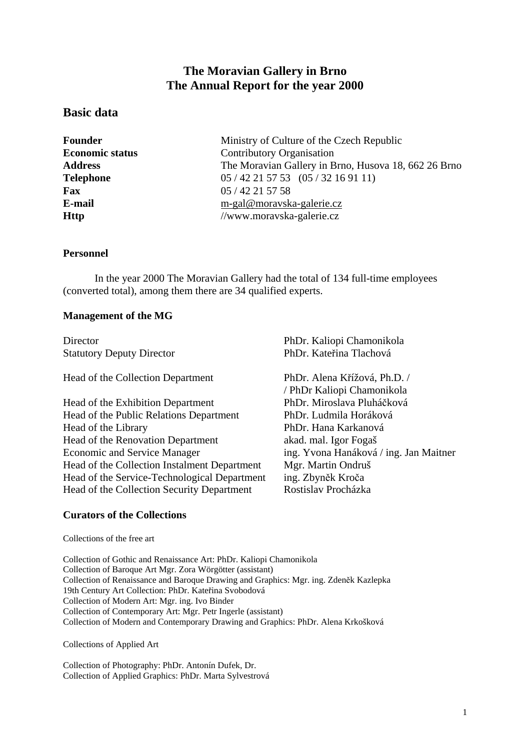# **The Moravian Gallery in Brno The Annual Report for the year 2000**

# **Basic data**

**Fax** 05 / 42 21 57 58

**Founder Ministry of Culture of the Czech Republic Economic status** Contributory Organisation **Address** The Moravian Gallery in Brno, Husova 18, 662 26 Brno **Telephone** 05 / 42 21 57 53 (05 / 32 16 91 11) **E-mail** [m-gal@moravska-galerie.cz](mailto:m-gal@moravska-galerie.cz) **Http** //www.moravska-galerie.cz

#### **Personnel**

In the year 2000 The Moravian Gallery had the total of 134 full-time employees (converted total), among them there are 34 qualified experts.

#### **Management of the MG**

Statutory Deputy Director PhDr. Kateřina Tlachová

Head of the Collection Department PhDr. Alena Křížová, Ph.D. /

Head of the Exhibition Department PhDr. Miroslava Pluháčková Head of the Public Relations Department PhDr. Ludmila Horáková Head of the Library PhDr. Hana Karkanová Head of the Renovation Department akad. mal. Igor Fogaš Economic and Service Manager ing. Yvona Hanáková / ing. Jan Maitner Head of the Collection Instalment Department Mgr. Martin Ondruš Head of the Service-Technological Department ing. Zbyněk Kroča Head of the Collection Security Department Rostislav Procházka

Director PhDr. Kaliopi Chamonikola

/ PhDr Kaliopi Chamonikola

#### **Curators of the Collections**

Collections of the free art

Collection of Gothic and Renaissance Art: PhDr. Kaliopi Chamonikola Collection of Baroque Art Mgr. Zora Wörgötter (assistant) Collection of Renaissance and Baroque Drawing and Graphics: Mgr. ing. Zdeněk Kazlepka 19th Century Art Collection: PhDr. Kateřina Svobodová Collection of Modern Art: Mgr. ing. Ivo Binder Collection of Contemporary Art: Mgr. Petr Ingerle (assistant) Collection of Modern and Contemporary Drawing and Graphics: PhDr. Alena Krkošková

Collections of Applied Art

Collection of Photography: PhDr. Antonín Dufek, Dr. Collection of Applied Graphics: PhDr. Marta Sylvestrová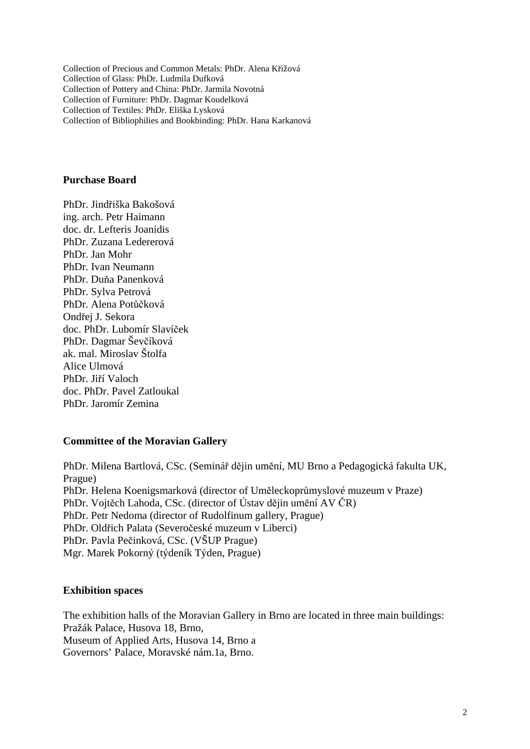Collection of Precious and Common Metals: PhDr. Alena Křížová Collection of Glass: PhDr. Ludmila Dufková Collection of Pottery and China: PhDr. Jarmila Novotná Collection of Furniture: PhDr. Dagmar Koudelková Collection of Textiles: PhDr. Eliška Lysková Collection of Bibliophilies and Bookbinding: PhDr. Hana Karkanová

#### **Purchase Board**

PhDr. Jindřiška Bakošová ing. arch. Petr Haimann doc. dr. Lefteris Joanidis PhDr. Zuzana Ledererová PhDr. Jan Mohr PhDr. Ivan Neumann PhDr. Duňa Panenková PhDr. Sylva Petrová PhDr. Alena Potůčková Ondřej J. Sekora doc. PhDr. Lubomír Slavíček PhDr. Dagmar Ševčíková ak. mal. Miroslav Štolfa Alice Ulmová PhDr. Jiří Valoch doc. PhDr. Pavel Zatloukal PhDr. Jaromír Zemina

#### **Committee of the Moravian Gallery**

PhDr. Milena Bartlová, CSc. (Seminář dějin umění, MU Brno a Pedagogická fakulta UK, Prague) PhDr. Helena Koenigsmarková (director of Uměleckoprůmyslové muzeum v Praze) PhDr. Vojtěch Lahoda, CSc. (director of Ústav dějin umění AV ČR) PhDr. Petr Nedoma (director of Rudolfinum gallery, Prague) PhDr. Oldřich Palata (Severočeské muzeum v Liberci) PhDr. Pavla Pečinková, CSc. (VŠUP Prague) Mgr. Marek Pokorný (týdeník Týden, Prague)

#### **Exhibition spaces**

The exhibition halls of the Moravian Gallery in Brno are located in three main buildings: Pražák Palace, Husova 18, Brno, Museum of Applied Arts, Husova 14, Brno a Governors' Palace, Moravské nám.1a, Brno.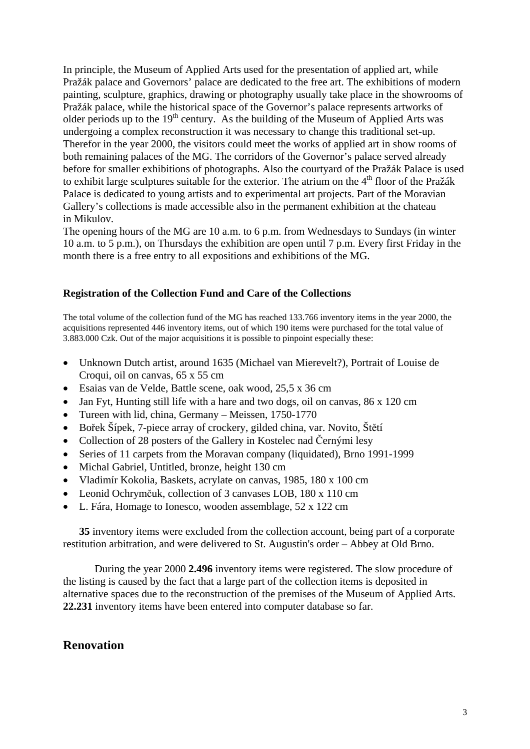In principle, the Museum of Applied Arts used for the presentation of applied art, while Pražák palace and Governors' palace are dedicated to the free art. The exhibitions of modern painting, sculpture, graphics, drawing or photography usually take place in the showrooms of Pražák palace, while the historical space of the Governor's palace represents artworks of older periods up to the  $19<sup>th</sup>$  century. As the building of the Museum of Applied Arts was undergoing a complex reconstruction it was necessary to change this traditional set-up. Therefor in the year 2000, the visitors could meet the works of applied art in show rooms of both remaining palaces of the MG. The corridors of the Governor's palace served already before for smaller exhibitions of photographs. Also the courtyard of the Pražák Palace is used to exhibit large sculptures suitable for the exterior. The atrium on the  $4<sup>th</sup>$  floor of the Pražák Palace is dedicated to young artists and to experimental art projects. Part of the Moravian Gallery's collections is made accessible also in the permanent exhibition at the chateau in Mikulov.

The opening hours of the MG are 10 a.m. to 6 p.m. from Wednesdays to Sundays (in winter 10 a.m. to 5 p.m.), on Thursdays the exhibition are open until 7 p.m. Every first Friday in the month there is a free entry to all expositions and exhibitions of the MG.

#### **Registration of the Collection Fund and Care of the Collections**

The total volume of the collection fund of the MG has reached 133.766 inventory items in the year 2000, the acquisitions represented 446 inventory items, out of which 190 items were purchased for the total value of 3.883.000 Czk. Out of the major acquisitions it is possible to pinpoint especially these:

- Unknown Dutch artist, around 1635 (Michael van Mierevelt?), Portrait of Louise de Croqui, oil on canvas, 65 x 55 cm
- Esaias van de Velde, Battle scene, oak wood, 25,5 x 36 cm
- Jan Fyt, Hunting still life with a hare and two dogs, oil on canvas, 86 x 120 cm
- Tureen with lid, china, Germany Meissen, 1750-1770
- Bořek Šípek, 7-piece array of crockery, gilded china, var. Novito, Štětí
- Collection of 28 posters of the Gallery in Kostelec nad Černými lesy
- Series of 11 carpets from the Moravan company (liquidated), Brno 1991-1999
- Michal Gabriel, Untitled, bronze, height 130 cm
- Vladimír Kokolia, Baskets, acrylate on canvas, 1985, 180 x 100 cm
- Leonid Ochrymčuk, collection of 3 canvases LOB, 180 x 110 cm
- L. Fára, Homage to Ionesco, wooden assemblage, 52 x 122 cm

**35** inventory items were excluded from the collection account, being part of a corporate restitution arbitration, and were delivered to St. Augustin's order – Abbey at Old Brno.

During the year 2000 **2.496** inventory items were registered. The slow procedure of the listing is caused by the fact that a large part of the collection items is deposited in alternative spaces due to the reconstruction of the premises of the Museum of Applied Arts. **22.231** inventory items have been entered into computer database so far.

# **Renovation**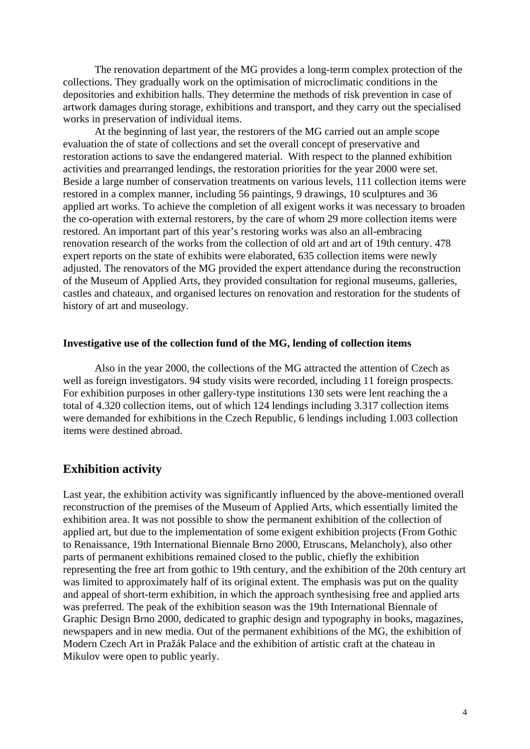The renovation department of the MG provides a long-term complex protection of the collections. They gradually work on the optimisation of microclimatic conditions in the depositories and exhibition halls. They determine the methods of risk prevention in case of artwork damages during storage, exhibitions and transport, and they carry out the specialised works in preservation of individual items.

At the beginning of last year, the restorers of the MG carried out an ample scope evaluation the of state of collections and set the overall concept of preservative and restoration actions to save the endangered material. With respect to the planned exhibition activities and prearranged lendings, the restoration priorities for the year 2000 were set. Beside a large number of conservation treatments on various levels, 111 collection items were restored in a complex manner, including 56 paintings, 9 drawings, 10 sculptures and 36 applied art works. To achieve the completion of all exigent works it was necessary to broaden the co-operation with external restorers, by the care of whom 29 more collection items were restored. An important part of this year's restoring works was also an all-embracing renovation research of the works from the collection of old art and art of 19th century. 478 expert reports on the state of exhibits were elaborated, 635 collection items were newly adjusted. The renovators of the MG provided the expert attendance during the reconstruction of the Museum of Applied Arts, they provided consultation for regional museums, galleries, castles and chateaux, and organised lectures on renovation and restoration for the students of history of art and museology.

#### **Investigative use of the collection fund of the MG, lending of collection items**

Also in the year 2000, the collections of the MG attracted the attention of Czech as well as foreign investigators. 94 study visits were recorded, including 11 foreign prospects. For exhibition purposes in other gallery-type institutions 130 sets were lent reaching the a total of 4.320 collection items, out of which 124 lendings including 3.317 collection items were demanded for exhibitions in the Czech Republic, 6 lendings including 1.003 collection items were destined abroad.

# **Exhibition activity**

Last year, the exhibition activity was significantly influenced by the above-mentioned overall reconstruction of the premises of the Museum of Applied Arts, which essentially limited the exhibition area. It was not possible to show the permanent exhibition of the collection of applied art, but due to the implementation of some exigent exhibition projects (From Gothic to Renaissance, 19th International Biennale Brno 2000, Etruscans, Melancholy), also other parts of permanent exhibitions remained closed to the public, chiefly the exhibition representing the free art from gothic to 19th century, and the exhibition of the 20th century art was limited to approximately half of its original extent. The emphasis was put on the quality and appeal of short-term exhibition, in which the approach synthesising free and applied arts was preferred. The peak of the exhibition season was the 19th International Biennale of Graphic Design Brno 2000, dedicated to graphic design and typography in books, magazines, newspapers and in new media. Out of the permanent exhibitions of the MG, the exhibition of Modern Czech Art in Pražák Palace and the exhibition of artistic craft at the chateau in Mikulov were open to public yearly.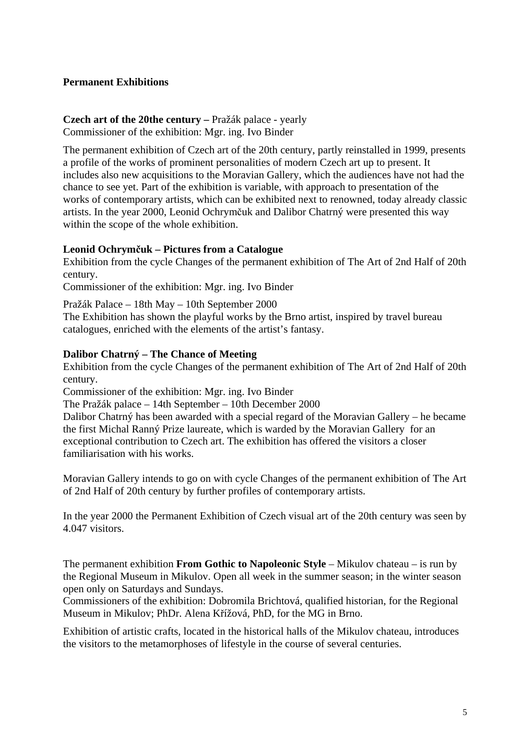### **Permanent Exhibitions**

#### **Czech art of the 20the century –** Pražák palace - yearly Commissioner of the exhibition: Mgr. ing. Ivo Binder

The permanent exhibition of Czech art of the 20th century, partly reinstalled in 1999, presents a profile of the works of prominent personalities of modern Czech art up to present. It includes also new acquisitions to the Moravian Gallery, which the audiences have not had the chance to see yet. Part of the exhibition is variable, with approach to presentation of the works of contemporary artists, which can be exhibited next to renowned, today already classic artists. In the year 2000, Leonid Ochrymčuk and Dalibor Chatrný were presented this way within the scope of the whole exhibition.

#### **Leonid Ochrymčuk – Pictures from a Catalogue**

Exhibition from the cycle Changes of the permanent exhibition of The Art of 2nd Half of 20th century.

Commissioner of the exhibition: Mgr. ing. Ivo Binder

Pražák Palace – 18th May – 10th September 2000

The Exhibition has shown the playful works by the Brno artist, inspired by travel bureau catalogues, enriched with the elements of the artist's fantasy.

#### **Dalibor Chatrný – The Chance of Meeting**

Exhibition from the cycle Changes of the permanent exhibition of The Art of 2nd Half of 20th century.

Commissioner of the exhibition: Mgr. ing. Ivo Binder

The Pražák palace – 14th September – 10th December 2000

Dalibor Chatrný has been awarded with a special regard of the Moravian Gallery – he became the first Michal Ranný Prize laureate, which is warded by the Moravian Gallery for an exceptional contribution to Czech art. The exhibition has offered the visitors a closer familiarisation with his works.

Moravian Gallery intends to go on with cycle Changes of the permanent exhibition of The Art of 2nd Half of 20th century by further profiles of contemporary artists.

In the year 2000 the Permanent Exhibition of Czech visual art of the 20th century was seen by 4.047 visitors.

The permanent exhibition **From Gothic to Napoleonic Style** – Mikulov chateau – is run by the Regional Museum in Mikulov. Open all week in the summer season; in the winter season open only on Saturdays and Sundays.

Commissioners of the exhibition: Dobromila Brichtová, qualified historian, for the Regional Museum in Mikulov; PhDr. Alena Křížová, PhD, for the MG in Brno.

Exhibition of artistic crafts, located in the historical halls of the Mikulov chateau, introduces the visitors to the metamorphoses of lifestyle in the course of several centuries.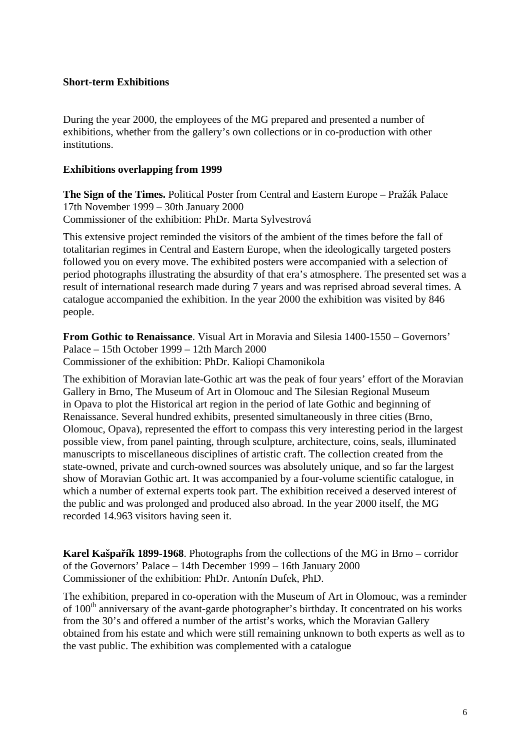#### **Short-term Exhibitions**

During the year 2000, the employees of the MG prepared and presented a number of exhibitions, whether from the gallery's own collections or in co-production with other institutions.

#### **Exhibitions overlapping from 1999**

**The Sign of the Times.** Political Poster from Central and Eastern Europe – Pražák Palace 17th November 1999 – 30th January 2000 Commissioner of the exhibition: PhDr. Marta Sylvestrová

This extensive project reminded the visitors of the ambient of the times before the fall of totalitarian regimes in Central and Eastern Europe, when the ideologically targeted posters followed you on every move. The exhibited posters were accompanied with a selection of period photographs illustrating the absurdity of that era's atmosphere. The presented set was a result of international research made during 7 years and was reprised abroad several times. A catalogue accompanied the exhibition. In the year 2000 the exhibition was visited by 846 people.

**From Gothic to Renaissance**. Visual Art in Moravia and Silesia 1400-1550 – Governors' Palace – 15th October 1999 – 12th March 2000 Commissioner of the exhibition: PhDr. Kaliopi Chamonikola

The exhibition of Moravian late-Gothic art was the peak of four years' effort of the Moravian Gallery in Brno, The Museum of Art in Olomouc and The Silesian Regional Museum in Opava to plot the Historical art region in the period of late Gothic and beginning of Renaissance. Several hundred exhibits, presented simultaneously in three cities (Brno, Olomouc, Opava), represented the effort to compass this very interesting period in the largest possible view, from panel painting, through sculpture, architecture, coins, seals, illuminated manuscripts to miscellaneous disciplines of artistic craft. The collection created from the state-owned, private and curch-owned sources was absolutely unique, and so far the largest show of Moravian Gothic art. It was accompanied by a four-volume scientific catalogue, in which a number of external experts took part. The exhibition received a deserved interest of the public and was prolonged and produced also abroad. In the year 2000 itself, the MG recorded 14.963 visitors having seen it.

**Karel Kašpařík 1899-1968**. Photographs from the collections of the MG in Brno – corridor of the Governors' Palace – 14th December 1999 – 16th January 2000 Commissioner of the exhibition: PhDr. Antonín Dufek, PhD.

The exhibition, prepared in co-operation with the Museum of Art in Olomouc, was a reminder of 100<sup>th</sup> anniversary of the avant-garde photographer's birthday. It concentrated on his works from the 30's and offered a number of the artist's works, which the Moravian Gallery obtained from his estate and which were still remaining unknown to both experts as well as to the vast public. The exhibition was complemented with a catalogue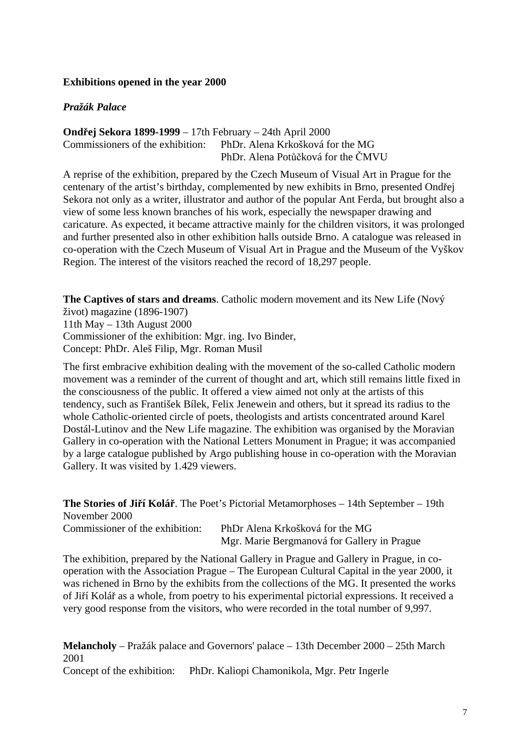### **Exhibitions opened in the year 2000**

### *Pražák Palace*

### **Ondřej Sekora 1899-1999** – 17th February – 24th April 2000 Commissioners of the exhibition: PhDr. Alena Krkošková for the MG PhDr. Alena Potůčková for the ČMVU

A reprise of the exhibition, prepared by the Czech Museum of Visual Art in Prague for the centenary of the artist's birthday, complemented by new exhibits in Brno, presented Ondřej Sekora not only as a writer, illustrator and author of the popular Ant Ferda, but brought also a view of some less known branches of his work, especially the newspaper drawing and caricature. As expected, it became attractive mainly for the children visitors, it was prolonged and further presented also in other exhibition halls outside Brno. A catalogue was released in co-operation with the Czech Museum of Visual Art in Prague and the Museum of the Vyškov Region. The interest of the visitors reached the record of 18,297 people.

**The Captives of stars and dreams**. Catholic modern movement and its New Life (Nový život) magazine (1896-1907)

11th May – 13th August 2000 Commissioner of the exhibition: Mgr. ing. Ivo Binder, Concept: PhDr. Aleš Filip, Mgr. Roman Musil

The first embracive exhibition dealing with the movement of the so-called Catholic modern movement was a reminder of the current of thought and art, which still remains little fixed in the consciousness of the public. It offered a view aimed not only at the artists of this tendency, such as František Bílek, Felix Jenewein and others, but it spread its radius to the whole Catholic-oriented circle of poets, theologists and artists concentrated around Karel Dostál-Lutinov and the New Life magazine. The exhibition was organised by the Moravian Gallery in co-operation with the National Letters Monument in Prague; it was accompanied by a large catalogue published by Argo publishing house in co-operation with the Moravian Gallery. It was visited by 1.429 viewers.

**The Stories of Jiří Kolář**. The Poet's Pictorial Metamorphoses – 14th September – 19th November 2000

Commissioner of the exhibition: PhDr Alena Krkošková for the MG Mgr. Marie Bergmanová for Gallery in Prague

The exhibition, prepared by the National Gallery in Prague and Gallery in Prague, in cooperation with the Association Prague – The European Cultural Capital in the year 2000, it was richened in Brno by the exhibits from the collections of the MG. It presented the works of Jiří Kolář as a whole, from poetry to his experimental pictorial expressions. It received a very good response from the visitors, who were recorded in the total number of 9,997.

**Melancholy** – Pražák palace and Governors' palace – 13th December 2000 – 25th March 2001

Concept of the exhibition: PhDr. Kaliopi Chamonikola, Mgr. Petr Ingerle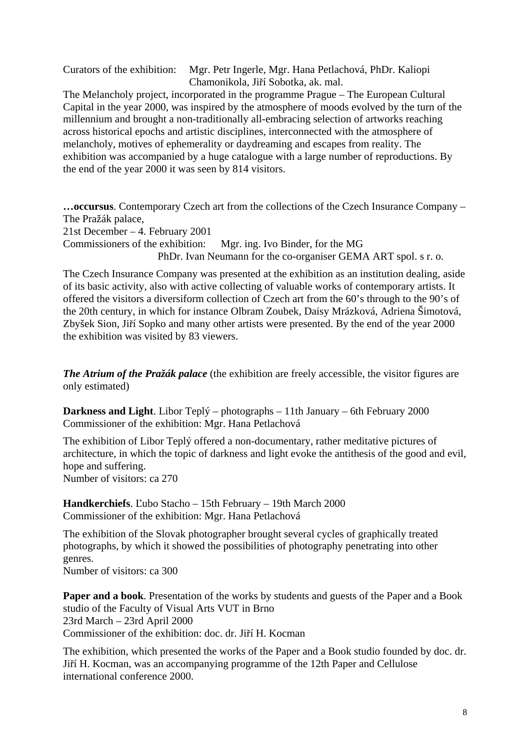Curators of the exhibition: Mgr. Petr Ingerle, Mgr. Hana Petlachová, PhDr. Kaliopi Chamonikola, Jiří Sobotka, ak. mal.

The Melancholy project, incorporated in the programme Prague – The European Cultural Capital in the year 2000, was inspired by the atmosphere of moods evolved by the turn of the millennium and brought a non-traditionally all-embracing selection of artworks reaching across historical epochs and artistic disciplines, interconnected with the atmosphere of melancholy, motives of ephemerality or daydreaming and escapes from reality. The exhibition was accompanied by a huge catalogue with a large number of reproductions. By the end of the year 2000 it was seen by 814 visitors.

**…occursus**. Contemporary Czech art from the collections of the Czech Insurance Company – The Pražák palace,

21st December – 4. February 2001

Commissioners of the exhibition: Mgr. ing. Ivo Binder, for the MG PhDr. Ivan Neumann for the co-organiser GEMA ART spol. s r. o.

The Czech Insurance Company was presented at the exhibition as an institution dealing, aside of its basic activity, also with active collecting of valuable works of contemporary artists. It offered the visitors a diversiform collection of Czech art from the 60's through to the 90's of the 20th century, in which for instance Olbram Zoubek, Daisy Mrázková, Adriena Šimotová, Zbyšek Sion, Jiří Sopko and many other artists were presented. By the end of the year 2000 the exhibition was visited by 83 viewers.

*The Atrium of the Pražák palace* (the exhibition are freely accessible, the visitor figures are only estimated)

**Darkness and Light**. Libor Teplý – photographs – 11th January – 6th February 2000 Commissioner of the exhibition: Mgr. Hana Petlachová

The exhibition of Libor Teplý offered a non-documentary, rather meditative pictures of architecture, in which the topic of darkness and light evoke the antithesis of the good and evil, hope and suffering.

Number of visitors: ca 270

**Handkerchiefs**. Ľubo Stacho – 15th February – 19th March 2000 Commissioner of the exhibition: Mgr. Hana Petlachová

The exhibition of the Slovak photographer brought several cycles of graphically treated photographs, by which it showed the possibilities of photography penetrating into other genres.

Number of visitors: ca 300

**Paper and a book**. Presentation of the works by students and guests of the Paper and a Book studio of the Faculty of Visual Arts VUT in Brno 23rd March – 23rd April 2000 Commissioner of the exhibition: doc. dr. Jiří H. Kocman

The exhibition, which presented the works of the Paper and a Book studio founded by doc. dr. Jiří H. Kocman, was an accompanying programme of the 12th Paper and Cellulose international conference 2000.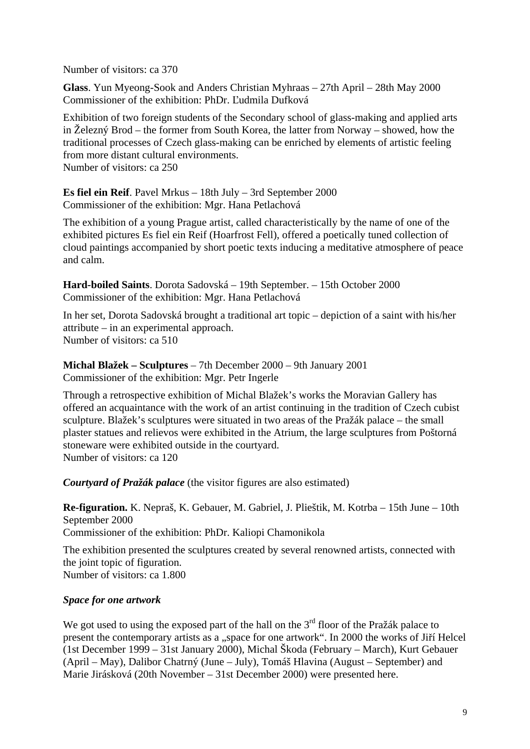Number of visitors: ca 370

**Glass**. Yun Myeong-Sook and Anders Christian Myhraas – 27th April – 28th May 2000 Commissioner of the exhibition: PhDr. Ľudmila Dufková

Exhibition of two foreign students of the Secondary school of glass-making and applied arts in Železný Brod – the former from South Korea, the latter from Norway – showed, how the traditional processes of Czech glass-making can be enriched by elements of artistic feeling from more distant cultural environments. Number of visitors: ca 250

**Es fiel ein Reif**. Pavel Mrkus – 18th July – 3rd September 2000 Commissioner of the exhibition: Mgr. Hana Petlachová

The exhibition of a young Prague artist, called characteristically by the name of one of the exhibited pictures Es fiel ein Reif (Hoarfrost Fell), offered a poetically tuned collection of cloud paintings accompanied by short poetic texts inducing a meditative atmosphere of peace and calm.

**Hard-boiled Saints**. Dorota Sadovská – 19th September. – 15th October 2000 Commissioner of the exhibition: Mgr. Hana Petlachová

In her set, Dorota Sadovská brought a traditional art topic – depiction of a saint with his/her attribute – in an experimental approach. Number of visitors: ca 510

**Michal Blažek – Sculptures** – 7th December 2000 – 9th January 2001 Commissioner of the exhibition: Mgr. Petr Ingerle

Through a retrospective exhibition of Michal Blažek's works the Moravian Gallery has offered an acquaintance with the work of an artist continuing in the tradition of Czech cubist sculpture. Blažek's sculptures were situated in two areas of the Pražák palace – the small plaster statues and relievos were exhibited in the Atrium, the large sculptures from Poštorná stoneware were exhibited outside in the courtyard. Number of visitors: ca 120

*Courtyard of Pražák palace* (the visitor figures are also estimated)

**Re-figuration.** K. Nepraš, K. Gebauer, M. Gabriel, J. Plieštik, M. Kotrba – 15th June – 10th September 2000 Commissioner of the exhibition: PhDr. Kaliopi Chamonikola

The exhibition presented the sculptures created by several renowned artists, connected with the joint topic of figuration. Number of visitors: ca 1.800

# *Space for one artwork*

We got used to using the exposed part of the hall on the  $3<sup>rd</sup>$  floor of the Pražák palace to present the contemporary artists as a "space for one artwork". In 2000 the works of Jiří Helcel (1st December 1999 – 31st January 2000), Michal Škoda (February – March), Kurt Gebauer (April – May), Dalibor Chatrný (June – July), Tomáš Hlavina (August – September) and Marie Jirásková (20th November – 31st December 2000) were presented here.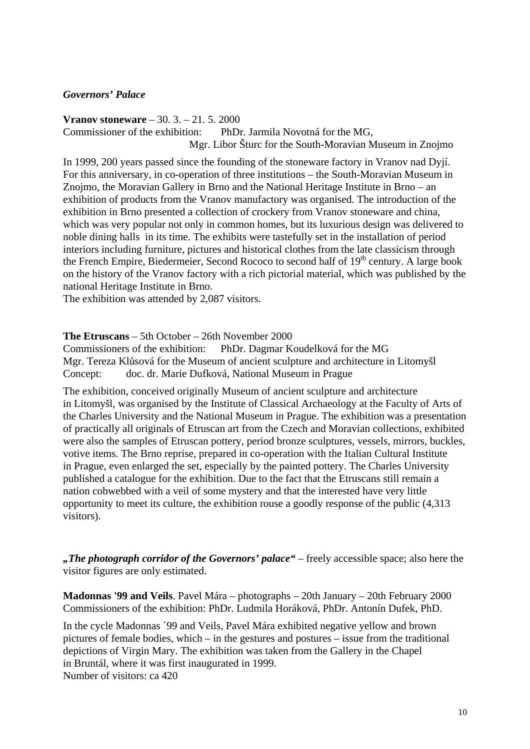### *Governors' Palace*

**Vranov stoneware** – 30. 3. – 21. 5. 2000 Commissioner of the exhibition: PhDr. Jarmila Novotná for the MG, Mgr. Libor Šturc for the South-Moravian Museum in Znojmo

In 1999, 200 years passed since the founding of the stoneware factory in Vranov nad Dyjí. For this anniversary, in co-operation of three institutions – the South-Moravian Museum in Znojmo, the Moravian Gallery in Brno and the National Heritage Institute in Brno – an exhibition of products from the Vranov manufactory was organised. The introduction of the exhibition in Brno presented a collection of crockery from Vranov stoneware and china, which was very popular not only in common homes, but its luxurious design was delivered to noble dining halls in its time. The exhibits were tastefully set in the installation of period interiors including furniture, pictures and historical clothes from the late classicism through the French Empire, Biedermeier, Second Rococo to second half of 19<sup>th</sup> century. A large book on the history of the Vranov factory with a rich pictorial material, which was published by the national Heritage Institute in Brno.

The exhibition was attended by 2,087 visitors.

#### **The Etruscans** – 5th October – 26th November 2000

Commissioners of the exhibition: PhDr. Dagmar Koudelková for the MG Mgr. Tereza Klůsová for the Museum of ancient sculpture and architecture in Litomyšl Concept: doc. dr. Marie Dufková, National Museum in Prague

The exhibition, conceived originally Museum of ancient sculpture and architecture in Litomyšl, was organised by the Institute of Classical Archaeology at the Faculty of Arts of the Charles University and the National Museum in Prague. The exhibition was a presentation of practically all originals of Etruscan art from the Czech and Moravian collections, exhibited were also the samples of Etruscan pottery, period bronze sculptures, vessels, mirrors, buckles, votive items. The Brno reprise, prepared in co-operation with the Italian Cultural Institute in Prague, even enlarged the set, especially by the painted pottery. The Charles University published a catalogue for the exhibition. Due to the fact that the Etruscans still remain a nation cobwebbed with a veil of some mystery and that the interested have very little opportunity to meet its culture, the exhibition rouse a goodly response of the public (4,313 visitors).

*"The photograph corridor of the Governors' palace"* – freely accessible space; also here the visitor figures are only estimated.

**Madonnas '99 and Veils**. Pavel Mára – photographs – 20th January – 20th February 2000 Commissioners of the exhibition: PhDr. Ludmila Horáková, PhDr. Antonín Dufek, PhD.

In the cycle Madonnas ´99 and Veils, Pavel Mára exhibited negative yellow and brown pictures of female bodies, which – in the gestures and postures – issue from the traditional depictions of Virgin Mary. The exhibition was taken from the Gallery in the Chapel in Bruntál, where it was first inaugurated in 1999.

Number of visitors: ca 420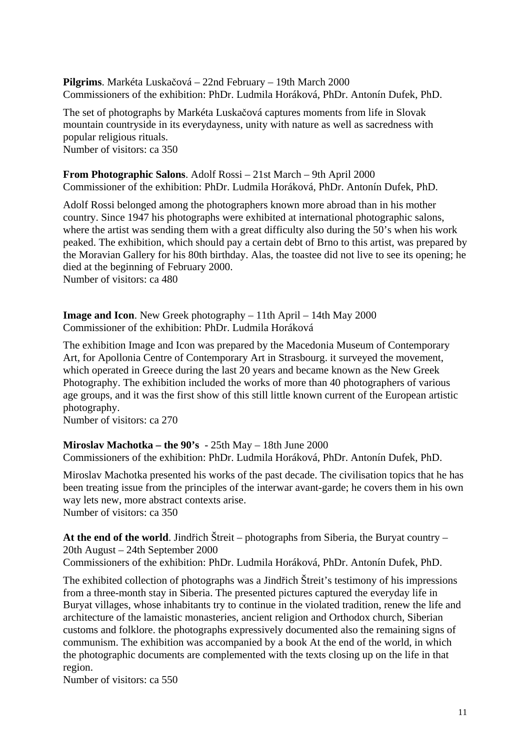**Pilgrims**. Markéta Luskačová – 22nd February – 19th March 2000 Commissioners of the exhibition: PhDr. Ludmila Horáková, PhDr. Antonín Dufek, PhD.

The set of photographs by Markéta Luskačová captures moments from life in Slovak mountain countryside in its everydayness, unity with nature as well as sacredness with popular religious rituals. Number of visitors: ca 350

# **From Photographic Salons**. Adolf Rossi – 21st March – 9th April 2000

Commissioner of the exhibition: PhDr. Ludmila Horáková, PhDr. Antonín Dufek, PhD.

Adolf Rossi belonged among the photographers known more abroad than in his mother country. Since 1947 his photographs were exhibited at international photographic salons, where the artist was sending them with a great difficulty also during the 50's when his work peaked. The exhibition, which should pay a certain debt of Brno to this artist, was prepared by the Moravian Gallery for his 80th birthday. Alas, the toastee did not live to see its opening; he died at the beginning of February 2000. Number of visitors: ca 480

**Image and Icon**. New Greek photography – 11th April – 14th May 2000 Commissioner of the exhibition: PhDr. Ludmila Horáková

The exhibition Image and Icon was prepared by the Macedonia Museum of Contemporary Art, for Apollonia Centre of Contemporary Art in Strasbourg. it surveyed the movement, which operated in Greece during the last 20 years and became known as the New Greek Photography. The exhibition included the works of more than 40 photographers of various age groups, and it was the first show of this still little known current of the European artistic photography.

Number of visitors: ca 270

# **Miroslav Machotka – the 90's** - 25th May – 18th June 2000

Commissioners of the exhibition: PhDr. Ludmila Horáková, PhDr. Antonín Dufek, PhD.

Miroslav Machotka presented his works of the past decade. The civilisation topics that he has been treating issue from the principles of the interwar avant-garde; he covers them in his own way lets new, more abstract contexts arise. Number of visitors: ca 350

**At the end of the world**. Jindřich Štreit – photographs from Siberia, the Buryat country – 20th August – 24th September 2000

Commissioners of the exhibition: PhDr. Ludmila Horáková, PhDr. Antonín Dufek, PhD.

The exhibited collection of photographs was a Jindřich Štreit's testimony of his impressions from a three-month stay in Siberia. The presented pictures captured the everyday life in Buryat villages, whose inhabitants try to continue in the violated tradition, renew the life and architecture of the lamaistic monasteries, ancient religion and Orthodox church, Siberian customs and folklore. the photographs expressively documented also the remaining signs of communism. The exhibition was accompanied by a book At the end of the world, in which the photographic documents are complemented with the texts closing up on the life in that region.

Number of visitors: ca 550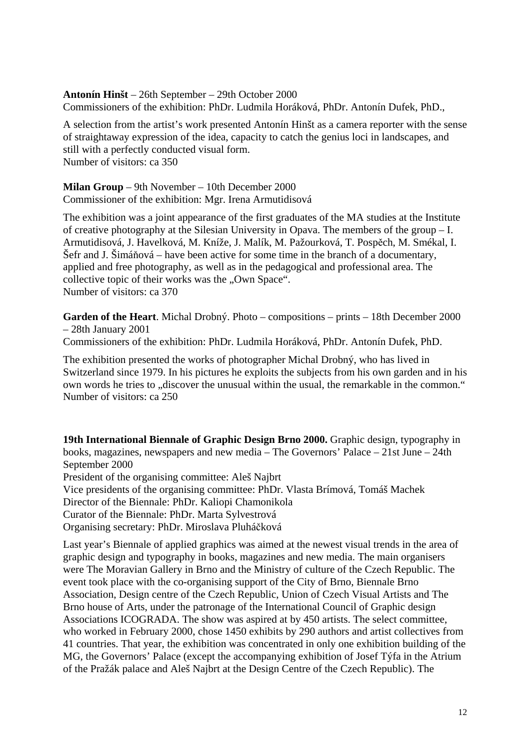#### **Antonín Hinšt** – 26th September – 29th October 2000

Commissioners of the exhibition: PhDr. Ludmila Horáková, PhDr. Antonín Dufek, PhD.,

A selection from the artist's work presented Antonín Hinšt as a camera reporter with the sense of straightaway expression of the idea, capacity to catch the genius loci in landscapes, and still with a perfectly conducted visual form. Number of visitors: ca 350

**Milan Group** – 9th November – 10th December 2000 Commissioner of the exhibition: Mgr. Irena Armutidisová

The exhibition was a joint appearance of the first graduates of the MA studies at the Institute of creative photography at the Silesian University in Opava. The members of the group – I. Armutidisová, J. Havelková, M. Kníže, J. Malík, M. Pažourková, T. Pospěch, M. Smékal, I. Šefr and J. Šimáňová – have been active for some time in the branch of a documentary, applied and free photography, as well as in the pedagogical and professional area. The collective topic of their works was the ...Own Space". Number of visitors: ca 370

**Garden of the Heart**. Michal Drobný. Photo – compositions – prints – 18th December 2000 – 28th January 2001

Commissioners of the exhibition: PhDr. Ludmila Horáková, PhDr. Antonín Dufek, PhD.

The exhibition presented the works of photographer Michal Drobný, who has lived in Switzerland since 1979. In his pictures he exploits the subjects from his own garden and in his own words he tries to "discover the unusual within the usual, the remarkable in the common." Number of visitors: ca 250

**19th International Biennale of Graphic Design Brno 2000.** Graphic design, typography in books, magazines, newspapers and new media – The Governors' Palace – 21st June – 24th September 2000

President of the organising committee: Aleš Najbrt

Vice presidents of the organising committee: PhDr. Vlasta Brímová, Tomáš Machek

Director of the Biennale: PhDr. Kaliopi Chamonikola

Curator of the Biennale: PhDr. Marta Sylvestrová

Organising secretary: PhDr. Miroslava Pluháčková

Last year's Biennale of applied graphics was aimed at the newest visual trends in the area of graphic design and typography in books, magazines and new media. The main organisers were The Moravian Gallery in Brno and the Ministry of culture of the Czech Republic. The event took place with the co-organising support of the City of Brno, Biennale Brno Association, Design centre of the Czech Republic, Union of Czech Visual Artists and The Brno house of Arts, under the patronage of the International Council of Graphic design Associations ICOGRADA. The show was aspired at by 450 artists. The select committee, who worked in February 2000, chose 1450 exhibits by 290 authors and artist collectives from 41 countries. That year, the exhibition was concentrated in only one exhibition building of the MG, the Governors' Palace (except the accompanying exhibition of Josef Týfa in the Atrium of the Pražák palace and Aleš Najbrt at the Design Centre of the Czech Republic). The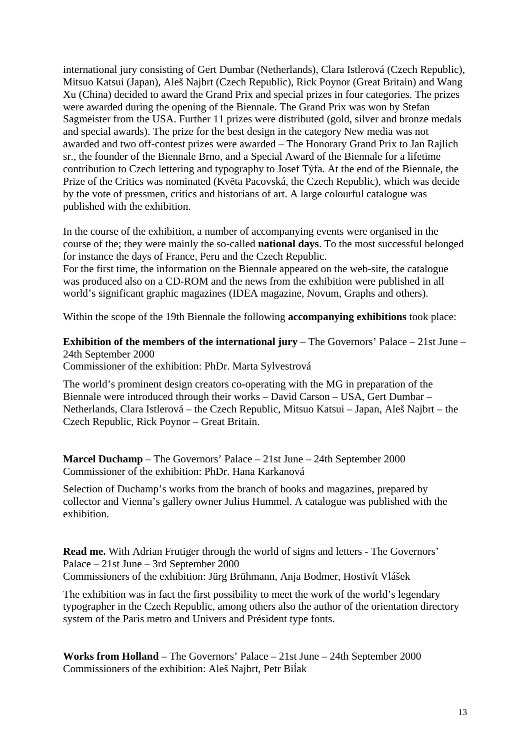international jury consisting of Gert Dumbar (Netherlands), Clara Istlerová (Czech Republic), Mitsuo Katsui (Japan), Aleš Najbrt (Czech Republic), Rick Poynor (Great Britain) and Wang Xu (China) decided to award the Grand Prix and special prizes in four categories. The prizes were awarded during the opening of the Biennale. The Grand Prix was won by Stefan Sagmeister from the USA. Further 11 prizes were distributed (gold, silver and bronze medals and special awards). The prize for the best design in the category New media was not awarded and two off-contest prizes were awarded – The Honorary Grand Prix to Jan Rajlich sr., the founder of the Biennale Brno, and a Special Award of the Biennale for a lifetime contribution to Czech lettering and typography to Josef Týfa. At the end of the Biennale, the Prize of the Critics was nominated (Květa Pacovská, the Czech Republic), which was decide by the vote of pressmen, critics and historians of art. A large colourful catalogue was published with the exhibition.

In the course of the exhibition, a number of accompanying events were organised in the course of the; they were mainly the so-called **national days**. To the most successful belonged for instance the days of France, Peru and the Czech Republic.

For the first time, the information on the Biennale appeared on the web-site, the catalogue was produced also on a CD-ROM and the news from the exhibition were published in all world's significant graphic magazines (IDEA magazine, Novum, Graphs and others).

Within the scope of the 19th Biennale the following **accompanying exhibitions** took place:

**Exhibition of the members of the international jury** – The Governors' Palace – 21st June – 24th September 2000

Commissioner of the exhibition: PhDr. Marta Sylvestrová

The world's prominent design creators co-operating with the MG in preparation of the Biennale were introduced through their works – David Carson – USA, Gert Dumbar – Netherlands, Clara Istlerová – the Czech Republic, Mitsuo Katsui – Japan, Aleš Najbrt – the Czech Republic, Rick Poynor – Great Britain.

**Marcel Duchamp** – The Governors' Palace – 21st June – 24th September 2000 Commissioner of the exhibition: PhDr. Hana Karkanová

Selection of Duchamp's works from the branch of books and magazines, prepared by collector and Vienna's gallery owner Julius Hummel. A catalogue was published with the exhibition.

**Read me.** With Adrian Frutiger through the world of signs and letters - The Governors' Palace – 21st June – 3rd September 2000 Commissioners of the exhibition: Jürg Brühmann, Anja Bodmer, Hostivít Vlášek

The exhibition was in fact the first possibility to meet the work of the world's legendary typographer in the Czech Republic, among others also the author of the orientation directory system of the Paris metro and Univers and Président type fonts.

**Works from Holland** – The Governors' Palace – 21st June – 24th September 2000 Commissioners of the exhibition: Aleš Najbrt, Petr Biĺak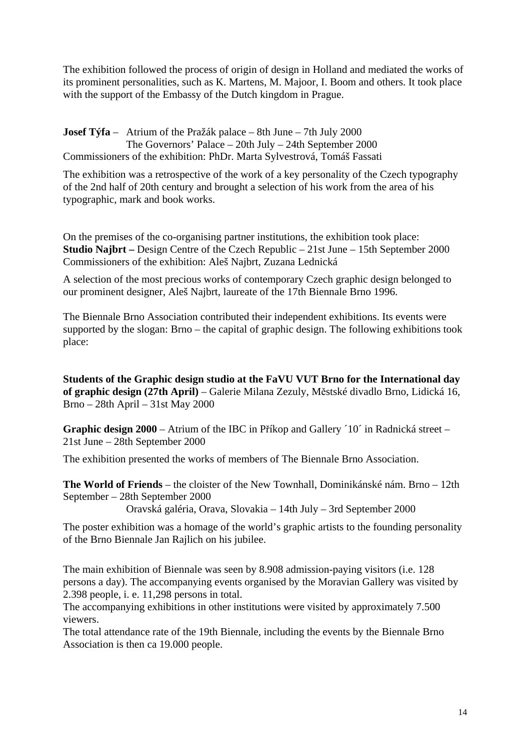The exhibition followed the process of origin of design in Holland and mediated the works of its prominent personalities, such as K. Martens, M. Majoor, I. Boom and others. It took place with the support of the Embassy of the Dutch kingdom in Prague.

**Josef Týfa** – Atrium of the Pražák palace – 8th June – 7th July 2000 The Governors' Palace – 20th July – 24th September 2000 Commissioners of the exhibition: PhDr. Marta Sylvestrová, Tomáš Fassati

The exhibition was a retrospective of the work of a key personality of the Czech typography of the 2nd half of 20th century and brought a selection of his work from the area of his typographic, mark and book works.

On the premises of the co-organising partner institutions, the exhibition took place: **Studio Najbrt –** Design Centre of the Czech Republic – 21st June – 15th September 2000 Commissioners of the exhibition: Aleš Najbrt, Zuzana Lednická

A selection of the most precious works of contemporary Czech graphic design belonged to our prominent designer, Aleš Najbrt, laureate of the 17th Biennale Brno 1996.

The Biennale Brno Association contributed their independent exhibitions. Its events were supported by the slogan: Brno – the capital of graphic design. The following exhibitions took place:

**Students of the Graphic design studio at the FaVU VUT Brno for the International day of graphic design (27th April)** – Galerie Milana Zezuly, Městské divadlo Brno, Lidická 16, Brno – 28th April – 31st May 2000

**Graphic design 2000** – Atrium of the IBC in Příkop and Gallery ´10´ in Radnická street – 21st June – 28th September 2000

The exhibition presented the works of members of The Biennale Brno Association.

**The World of Friends** – the cloister of the New Townhall, Dominikánské nám. Brno – 12th September – 28th September 2000

Oravská galéria, Orava, Slovakia – 14th July – 3rd September 2000

The poster exhibition was a homage of the world's graphic artists to the founding personality of the Brno Biennale Jan Rajlich on his jubilee.

The main exhibition of Biennale was seen by 8.908 admission-paying visitors (i.e. 128 persons a day). The accompanying events organised by the Moravian Gallery was visited by 2.398 people, i. e. 11,298 persons in total.

The accompanying exhibitions in other institutions were visited by approximately 7.500 viewers.

The total attendance rate of the 19th Biennale, including the events by the Biennale Brno Association is then ca 19.000 people.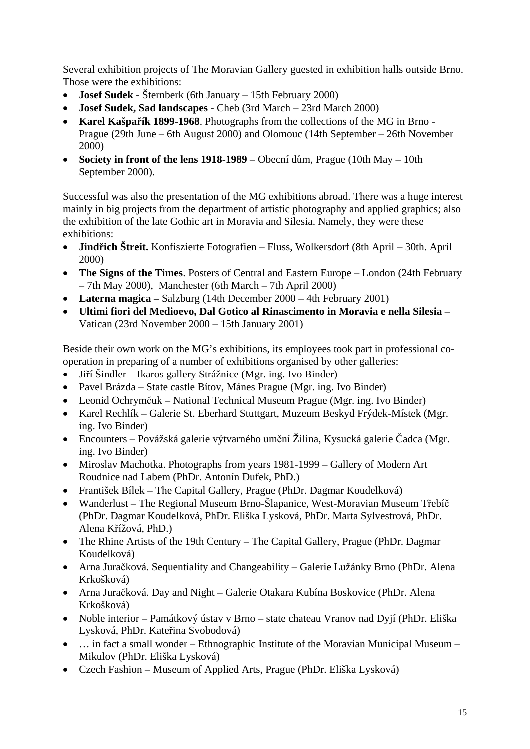Several exhibition projects of The Moravian Gallery guested in exhibition halls outside Brno. Those were the exhibitions:

- **Josef Sudek** Šternberk (6th January 15th February 2000)
- **Josef Sudek, Sad landscapes**  Cheb (3rd March 23rd March 2000)
- **Karel Kašpařík 1899-1968**. Photographs from the collections of the MG in Brno Prague (29th June – 6th August 2000) and Olomouc (14th September – 26th November 2000)
- **Society in front of the lens 1918-1989** Obecní dům, Prague (10th May 10th September 2000).

Successful was also the presentation of the MG exhibitions abroad. There was a huge interest mainly in big projects from the department of artistic photography and applied graphics; also the exhibition of the late Gothic art in Moravia and Silesia. Namely, they were these exhibitions:

- **Jindřich Štreit.** Konfiszierte Fotografien Fluss, Wolkersdorf (8th April 30th. April 2000)
- **The Signs of the Times**. Posters of Central and Eastern Europe London (24th February – 7th May 2000), Manchester (6th March – 7th April 2000)
- **Laterna magica** Salzburg (14th December 2000 4th February 2001)
- **Ultimi fiori del Medioevo, Dal Gotico al Rinascimento in Moravia e nella Silesia** Vatican (23rd November 2000 – 15th January 2001)

Beside their own work on the MG's exhibitions, its employees took part in professional cooperation in preparing of a number of exhibitions organised by other galleries:

- Jiří Šindler Ikaros gallery Strážnice (Mgr. ing. Ivo Binder)
- Pavel Brázda State castle Bítov, Mánes Prague (Mgr. ing. Ivo Binder)
- Leonid Ochrymčuk National Technical Museum Prague (Mgr. ing. Ivo Binder)
- Karel Rechlík Galerie St. Eberhard Stuttgart, Muzeum Beskyd Frýdek-Místek (Mgr. ing. Ivo Binder)
- Encounters Povážská galerie výtvarného umění Žilina, Kysucká galerie Čadca (Mgr. ing. Ivo Binder)
- Miroslav Machotka. Photographs from years 1981-1999 Gallery of Modern Art Roudnice nad Labem (PhDr. Antonín Dufek, PhD.)
- František Bílek The Capital Gallery, Prague (PhDr. Dagmar Koudelková)
- Wanderlust The Regional Museum Brno-Šlapanice, West-Moravian Museum Třebíč (PhDr. Dagmar Koudelková, PhDr. Eliška Lysková, PhDr. Marta Sylvestrová, PhDr. Alena Křížová, PhD.)
- The Rhine Artists of the 19th Century The Capital Gallery, Prague (PhDr. Dagmar) Koudelková)
- Arna Juračková. Sequentiality and Changeability Galerie Lužánky Brno (PhDr. Alena Krkošková)
- Arna Juračková. Day and Night Galerie Otakara Kubína Boskovice (PhDr. Alena Krkošková)
- Noble interior Památkový ústav v Brno state chateau Vranov nad Dyjí (PhDr. Eliška Lysková, PhDr. Kateřina Svobodová)
- ... in fact a small wonder Ethnographic Institute of the Moravian Municipal Museum Mikulov (PhDr. Eliška Lysková)
- Czech Fashion Museum of Applied Arts, Prague (PhDr. Eliška Lysková)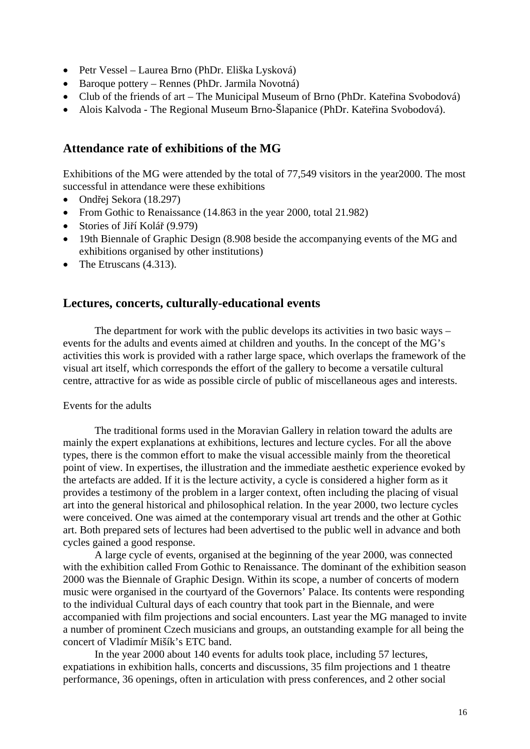- Petr Vessel Laurea Brno (PhDr. Eliška Lysková)
- Baroque pottery Rennes (PhDr. Jarmila Novotná)
- Club of the friends of art The Municipal Museum of Brno (PhDr. Kateřina Svobodová)
- Alois Kalvoda The Regional Museum Brno-Šlapanice (PhDr. Kateřina Svobodová).

# **Attendance rate of exhibitions of the MG**

Exhibitions of the MG were attended by the total of 77,549 visitors in the year2000. The most successful in attendance were these exhibitions

- Ondřej Sekora (18.297)
- From Gothic to Renaissance (14.863 in the year 2000, total 21.982)
- Stories of Jiří Kolář (9.979)
- 19th Biennale of Graphic Design (8.908 beside the accompanying events of the MG and exhibitions organised by other institutions)
- The Etruscans  $(4.313)$ .

# **Lectures, concerts, culturally-educational events**

The department for work with the public develops its activities in two basic ways – events for the adults and events aimed at children and youths. In the concept of the MG's activities this work is provided with a rather large space, which overlaps the framework of the visual art itself, which corresponds the effort of the gallery to become a versatile cultural centre, attractive for as wide as possible circle of public of miscellaneous ages and interests.

#### Events for the adults

The traditional forms used in the Moravian Gallery in relation toward the adults are mainly the expert explanations at exhibitions, lectures and lecture cycles. For all the above types, there is the common effort to make the visual accessible mainly from the theoretical point of view. In expertises, the illustration and the immediate aesthetic experience evoked by the artefacts are added. If it is the lecture activity, a cycle is considered a higher form as it provides a testimony of the problem in a larger context, often including the placing of visual art into the general historical and philosophical relation. In the year 2000, two lecture cycles were conceived. One was aimed at the contemporary visual art trends and the other at Gothic art. Both prepared sets of lectures had been advertised to the public well in advance and both cycles gained a good response.

A large cycle of events, organised at the beginning of the year 2000, was connected with the exhibition called From Gothic to Renaissance. The dominant of the exhibition season 2000 was the Biennale of Graphic Design. Within its scope, a number of concerts of modern music were organised in the courtyard of the Governors' Palace. Its contents were responding to the individual Cultural days of each country that took part in the Biennale, and were accompanied with film projections and social encounters. Last year the MG managed to invite a number of prominent Czech musicians and groups, an outstanding example for all being the concert of Vladimír Mišík's ETC band.

In the year 2000 about 140 events for adults took place, including 57 lectures, expatiations in exhibition halls, concerts and discussions, 35 film projections and 1 theatre performance, 36 openings, often in articulation with press conferences, and 2 other social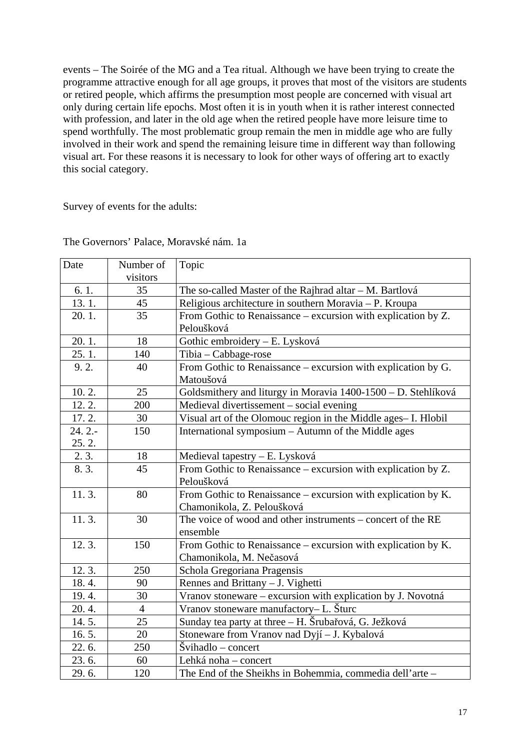events – The Soirée of the MG and a Tea ritual. Although we have been trying to create the programme attractive enough for all age groups, it proves that most of the visitors are students or retired people, which affirms the presumption most people are concerned with visual art only during certain life epochs. Most often it is in youth when it is rather interest connected with profession, and later in the old age when the retired people have more leisure time to spend worthfully. The most problematic group remain the men in middle age who are fully involved in their work and spend the remaining leisure time in different way than following visual art. For these reasons it is necessary to look for other ways of offering art to exactly this social category.

Survey of events for the adults:

| Date     | Number of      | Topic                                                                                                         |
|----------|----------------|---------------------------------------------------------------------------------------------------------------|
|          | visitors       |                                                                                                               |
| 6.1.     | 35             | The so-called Master of the Rajhrad altar – M. Bartlová                                                       |
| 13.1.    | 45             | Religious architecture in southern Moravia - P. Kroupa                                                        |
| 20.1.    | 35             | From Gothic to Renaissance – excursion with explication by Z.                                                 |
|          |                | Peloušková                                                                                                    |
| 20.1.    | 18             | Gothic embroidery - E. Lysková                                                                                |
| 25.1.    | 140            | Tibia - Cabbage-rose                                                                                          |
| 9.2.     | 40             | From Gothic to Renaissance - excursion with explication by G.                                                 |
|          |                | Matoušová                                                                                                     |
| 10.2.    | 25             | Goldsmithery and liturgy in Moravia 1400-1500 - D. Stehlíková                                                 |
| 12.2.    | 200            | Medieval divertissement - social evening                                                                      |
| 17.2.    | 30             | Visual art of the Olomouc region in the Middle ages- I. Hlobil                                                |
| $24.2 -$ | 150            | International symposium - Autumn of the Middle ages                                                           |
| 25.2.    |                |                                                                                                               |
| 2.3.     | 18             |                                                                                                               |
| 8.3.     | 45             | Medieval tapestry – E. Lysková<br>From Gothic to Renaissance – excursion with explication by Z.<br>Peloušková |
| 11.3.    | 80             | From Gothic to Renaissance - excursion with explication by K.<br>Chamonikola, Z. Peloušková                   |
| 11.3.    | 30             | The voice of wood and other instruments – concert of the RE<br>ensemble                                       |
| 12.3.    | 150            | From Gothic to Renaissance – excursion with explication by K.<br>Chamonikola, M. Nečasová                     |
| 12.3.    | 250            | Schola Gregoriana Pragensis                                                                                   |
| 18.4.    | 90             | Rennes and Brittany - J. Vighetti                                                                             |
| 19.4.    | 30             | Vranov stoneware – excursion with explication by J. Novotná                                                   |
| 20.4.    | $\overline{4}$ | Vranov stoneware manufactory-L. Šturc                                                                         |
| 14.5.    | 25             | Sunday tea party at three - H. Šrubařová, G. Ježková                                                          |
| 16.5.    | 20             | Stoneware from Vranov nad Dyjí – J. Kybalová                                                                  |
| 22.6.    | 250            | $\dot{S}$ vihadlo – concert                                                                                   |
| 23.6.    | 60             | Lehká noha – concert                                                                                          |
| 29.6.    | 120            | The End of the Sheikhs in Bohemmia, commedia dell'arte -                                                      |

The Governors' Palace, Moravské nám. 1a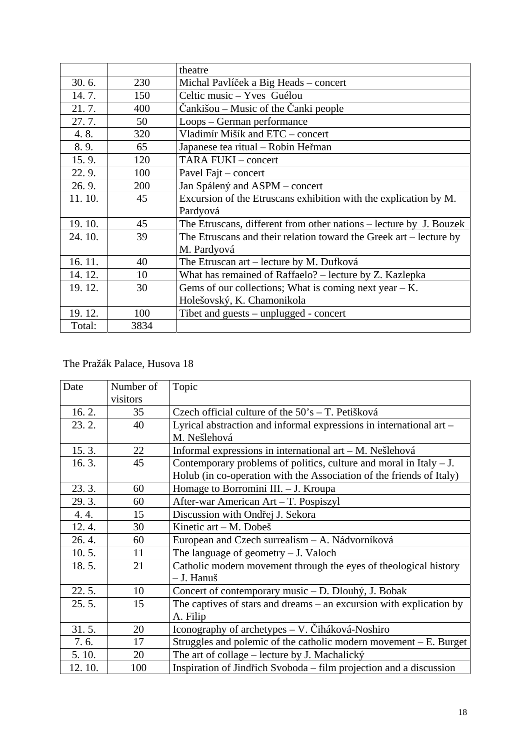|        |      | theatre                                                            |
|--------|------|--------------------------------------------------------------------|
| 30.6.  | 230  | Michal Pavlíček a Big Heads – concert                              |
| 14.7.  | 150  | Celtic music – Yves Guélou                                         |
| 21.7.  | 400  | Čankišou – Music of the Čanki people                               |
| 27.7.  | 50   | Loops – German performance                                         |
| 4.8.   | 320  | Vladimír Mišík and ETC – concert                                   |
| 8.9.   | 65   | Japanese tea ritual – Robin Heřman                                 |
| 15.9.  | 120  | TARA FUKI - concert                                                |
| 22.9.  | 100  | Pavel Fajt - concert                                               |
| 26.9.  | 200  | Jan Spálený and ASPM – concert                                     |
| 11.10. | 45   | Excursion of the Etruscans exhibition with the explication by M.   |
|        |      | Pardyová                                                           |
| 19.10. | 45   | The Etruscans, different from other nations – lecture by J. Bouzek |
| 24.10. | 39   | The Etruscans and their relation toward the Greek art - lecture by |
|        |      | M. Pardyová                                                        |
| 16.11. | 40   | The Etruscan art – lecture by M. Dufková                           |
| 14.12. | 10   | What has remained of Raffaelo? – lecture by Z. Kazlepka            |
| 19.12. | 30   | Gems of our collections; What is coming next year $-K$ .           |
|        |      | Holešovský, K. Chamonikola                                         |
| 19.12. | 100  | Tibet and guests – unplugged - concert                             |
| Total: | 3834 |                                                                    |

# The Pražák Palace, Husova 18

| Date   | Number of | Topic                                                                |
|--------|-----------|----------------------------------------------------------------------|
|        | visitors  |                                                                      |
| 16.2.  | 35        | Czech official culture of the $50's - T$ . Petišková                 |
| 23.2.  | 40        | Lyrical abstraction and informal expressions in international art -  |
|        |           | M. Nešlehová                                                         |
| 15.3.  | 22        | Informal expressions in international art - M. Nešlehová             |
| 16.3.  | 45        | Contemporary problems of politics, culture and moral in Italy $-J$ . |
|        |           | Holub (in co-operation with the Association of the friends of Italy) |
| 23.3.  | 60        | Homage to Borromini III. - J. Kroupa                                 |
| 29.3.  | 60        | After-war American Art - T. Pospiszyl                                |
| 4.4.   | 15        | Discussion with Ondřej J. Sekora                                     |
| 12.4.  | 30        | Kinetic $art - M$ . Dobeš                                            |
| 26.4.  | 60        | European and Czech surrealism - A. Nádvorníková                      |
| 10.5.  | 11        | The language of geometry $-J.$ Valoch                                |
| 18.5.  | 21        | Catholic modern movement through the eyes of theological history     |
|        |           | - J. Hanuš                                                           |
| 22.5.  | 10        | Concert of contemporary music – D. Dlouhý, J. Bobak                  |
| 25.5.  | 15        | The captives of stars and dreams – an excursion with explication by  |
|        |           | A. Filip                                                             |
| 31.5.  | 20        | Iconography of archetypes – V. Čiháková-Noshiro                      |
| 7.6.   | 17        | Struggles and polemic of the catholic modern movement $-E$ . Burget  |
| 5.10.  | 20        | The art of collage – lecture by J. Machalický                        |
| 12.10. | 100       | Inspiration of Jindřich Svoboda – film projection and a discussion   |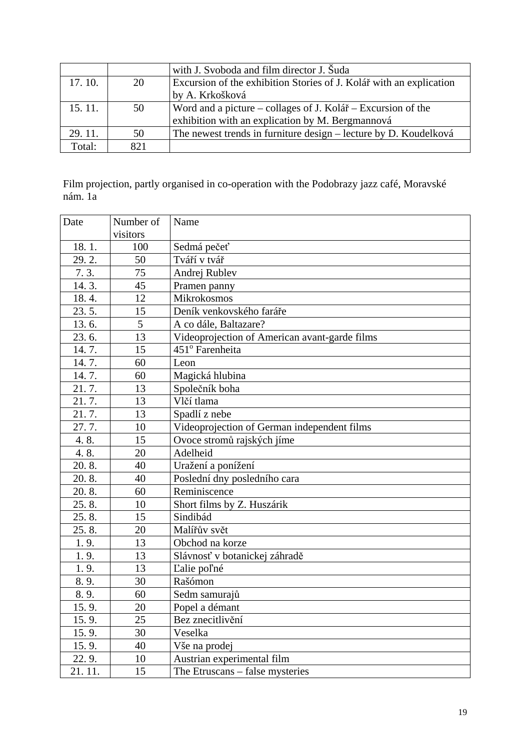|        |     | with J. Svoboda and film director J. Šuda                           |
|--------|-----|---------------------------------------------------------------------|
| 17.10. | 20  | Excursion of the exhibition Stories of J. Kolář with an explication |
|        |     | by A. Krkošková                                                     |
| 15.11. | 50  | Word and a picture – collages of J. Kolář – Excursion of the        |
|        |     | exhibition with an explication by M. Bergmannová                    |
| 29.11. | 50  | The newest trends in furniture design – lecture by D. Koudelková    |
| Total: | 821 |                                                                     |

Film projection, partly organised in co-operation with the Podobrazy jazz café, Moravské nám. 1a

| Date   | Number of | Name                                          |  |
|--------|-----------|-----------------------------------------------|--|
|        | visitors  |                                               |  |
| 18.1.  | 100       | Sedmá pečeť                                   |  |
| 29.2.  | 50        | Tváří v tvář                                  |  |
| 7.3.   | 75        | Andrej Rublev                                 |  |
| 14.3.  | 45        | Pramen panny                                  |  |
| 18.4.  | 12        | <b>Mikrokosmos</b>                            |  |
| 23.5.  | 15        | Deník venkovského faráře                      |  |
| 13.6.  | 5         | A co dále, Baltazare?                         |  |
| 23.6.  | 13        | Videoprojection of American avant-garde films |  |
| 14.7.  | 15        | 451° Farenheita                               |  |
| 14.7.  | 60        | Leon                                          |  |
| 14.7.  | 60        | Magická hlubina                               |  |
| 21.7.  | 13        | Společník boha                                |  |
| 21.7.  | 13        | Vlčí tlama                                    |  |
| 21.7.  | 13        | Spadlí z nebe                                 |  |
| 27.7.  | 10        | Videoprojection of German independent films   |  |
| 4.8.   | 15        | Ovoce stromů rajských jíme                    |  |
| 4.8.   | 20        | Adelheid                                      |  |
| 20.8.  | 40        | Uražení a ponížení                            |  |
| 20.8.  | 40        | Poslední dny posledního cara                  |  |
| 20.8.  | 60        | Reminiscence                                  |  |
| 25.8.  | 10        | Short films by Z. Huszárik                    |  |
| 25.8.  | 15        | Sindibád                                      |  |
| 25.8.  | 20        | Malířův svět                                  |  |
| 1.9.   | 13        | Obchod na korze                               |  |
| 1.9.   | 13        | Slávnosť v botanickej záhradě                 |  |
| 1.9.   | 13        | L'alie pol'né                                 |  |
| 8.9.   | 30        | Rašómon                                       |  |
| 8.9.   | 60        | Sedm samurajů                                 |  |
| 15.9.  | 20        | Popel a démant                                |  |
| 15.9.  | 25        | Bez znecitlivění                              |  |
| 15.9.  | 30        | Veselka                                       |  |
| 15.9.  | 40        | Vše na prodej                                 |  |
| 22.9.  | 10        | Austrian experimental film                    |  |
| 21.11. | 15        | The Etruscans – false mysteries               |  |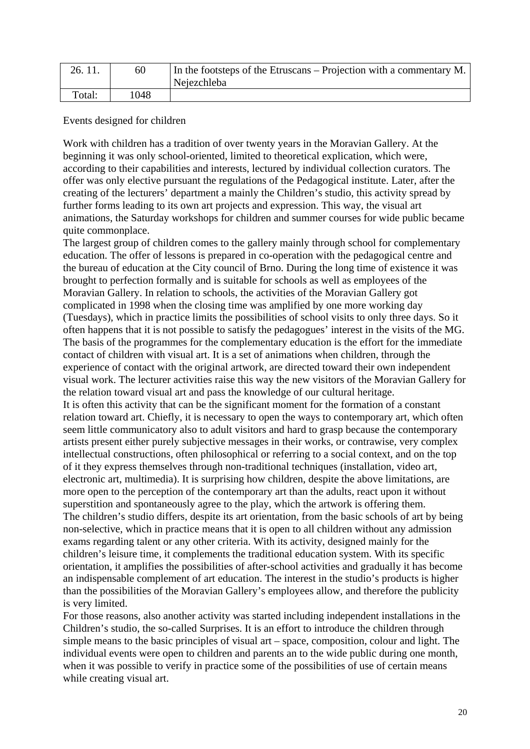| 26.11. | 60   | In the footsteps of the Etruscans – Projection with a commentary M.<br>Nejezchleba |
|--------|------|------------------------------------------------------------------------------------|
| Total: | 1048 |                                                                                    |

Events designed for children

Work with children has a tradition of over twenty years in the Moravian Gallery. At the beginning it was only school-oriented, limited to theoretical explication, which were, according to their capabilities and interests, lectured by individual collection curators. The offer was only elective pursuant the regulations of the Pedagogical institute. Later, after the creating of the lecturers' department a mainly the Children's studio, this activity spread by further forms leading to its own art projects and expression. This way, the visual art animations, the Saturday workshops for children and summer courses for wide public became quite commonplace.

The largest group of children comes to the gallery mainly through school for complementary education. The offer of lessons is prepared in co-operation with the pedagogical centre and the bureau of education at the City council of Brno. During the long time of existence it was brought to perfection formally and is suitable for schools as well as employees of the Moravian Gallery. In relation to schools, the activities of the Moravian Gallery got complicated in 1998 when the closing time was amplified by one more working day (Tuesdays), which in practice limits the possibilities of school visits to only three days. So it often happens that it is not possible to satisfy the pedagogues' interest in the visits of the MG. The basis of the programmes for the complementary education is the effort for the immediate contact of children with visual art. It is a set of animations when children, through the experience of contact with the original artwork, are directed toward their own independent visual work. The lecturer activities raise this way the new visitors of the Moravian Gallery for the relation toward visual art and pass the knowledge of our cultural heritage.

It is often this activity that can be the significant moment for the formation of a constant relation toward art. Chiefly, it is necessary to open the ways to contemporary art, which often seem little communicatory also to adult visitors and hard to grasp because the contemporary artists present either purely subjective messages in their works, or contrawise, very complex intellectual constructions, often philosophical or referring to a social context, and on the top of it they express themselves through non-traditional techniques (installation, video art, electronic art, multimedia). It is surprising how children, despite the above limitations, are more open to the perception of the contemporary art than the adults, react upon it without superstition and spontaneously agree to the play, which the artwork is offering them. The children's studio differs, despite its art orientation, from the basic schools of art by being non-selective, which in practice means that it is open to all children without any admission exams regarding talent or any other criteria. With its activity, designed mainly for the children's leisure time, it complements the traditional education system. With its specific orientation, it amplifies the possibilities of after-school activities and gradually it has become an indispensable complement of art education. The interest in the studio's products is higher than the possibilities of the Moravian Gallery's employees allow, and therefore the publicity is very limited.

For those reasons, also another activity was started including independent installations in the Children's studio, the so-called Surprises. It is an effort to introduce the children through simple means to the basic principles of visual art – space, composition, colour and light. The individual events were open to children and parents an to the wide public during one month, when it was possible to verify in practice some of the possibilities of use of certain means while creating visual art.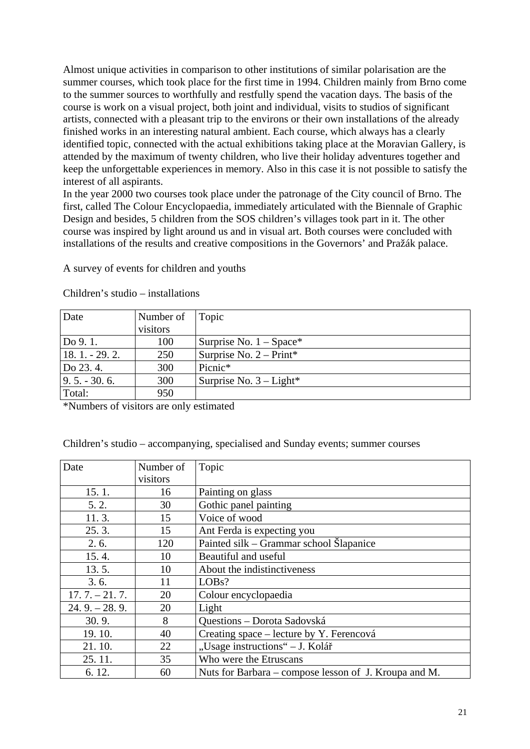Almost unique activities in comparison to other institutions of similar polarisation are the summer courses, which took place for the first time in 1994. Children mainly from Brno come to the summer sources to worthfully and restfully spend the vacation days. The basis of the course is work on a visual project, both joint and individual, visits to studios of significant artists, connected with a pleasant trip to the environs or their own installations of the already finished works in an interesting natural ambient. Each course, which always has a clearly identified topic, connected with the actual exhibitions taking place at the Moravian Gallery, is attended by the maximum of twenty children, who live their holiday adventures together and keep the unforgettable experiences in memory. Also in this case it is not possible to satisfy the interest of all aspirants.

In the year 2000 two courses took place under the patronage of the City council of Brno. The first, called The Colour Encyclopaedia, immediately articulated with the Biennale of Graphic Design and besides, 5 children from the SOS children's villages took part in it. The other course was inspired by light around us and in visual art. Both courses were concluded with installations of the results and creative compositions in the Governors' and Pražák palace.

A survey of events for children and youths

| Date          | Number of | Topic                      |
|---------------|-----------|----------------------------|
|               | visitors  |                            |
| Do 9.1.       | 100       | Surprise No. $1 - Space^*$ |
| $18.1 - 29.2$ | 250       | Surprise No. $2 - Print*$  |
| Do 23.4.      | 300       | Picnic*                    |
| $9.5 - 30.6$  | 300       | Surprise No. $3 - Light*$  |
| Total:        | 950       |                            |

Children's studio – installations

\*Numbers of visitors are only estimated

Children's studio – accompanying, specialised and Sunday events; summer courses

| Date            | Number of | Topic                                                 |
|-----------------|-----------|-------------------------------------------------------|
|                 | visitors  |                                                       |
| 15.1.           | 16        | Painting on glass                                     |
| 5.2.            | 30        | Gothic panel painting                                 |
| 11.3.           | 15        | Voice of wood                                         |
| 25.3.           | 15        | Ant Ferda is expecting you                            |
| 2.6.            | 120       | Painted silk – Grammar school Šlapanice               |
| 15.4.           | 10        | Beautiful and useful                                  |
| 13.5.           | 10        | About the indistinctiveness                           |
| 3.6.            | 11        | LOBs?                                                 |
| $17.7 - 21.7$ . | 20        | Colour encyclopaedia                                  |
| $24.9 - 28.9$ . | 20        | Light                                                 |
| 30.9.           | 8         | Questions - Dorota Sadovská                           |
| 19.10.          | 40        | Creating space – lecture by Y. Ferencová              |
| 21.10.          | 22        | "Usage instructions" - J. Kolář                       |
| 25.11.          | 35        | Who were the Etruscans                                |
| 6.12.           | 60        | Nuts for Barbara – compose lesson of J. Kroupa and M. |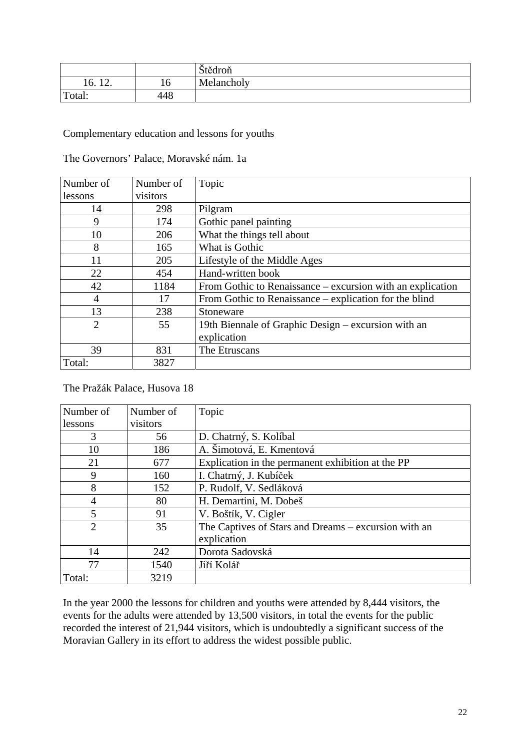|                                                  |     | Štědroň    |
|--------------------------------------------------|-----|------------|
| 1 <sub>0</sub><br>10.<br>$\overline{\mathbf{r}}$ | 10  | Melancholy |
| Total:                                           | 448 |            |

### Complementary education and lessons for youths

| The Governors' Palace, Moravské nám. 1a |  |  |  |  |
|-----------------------------------------|--|--|--|--|
|-----------------------------------------|--|--|--|--|

| Number of      | Number of | Topic                                                      |
|----------------|-----------|------------------------------------------------------------|
| lessons        | visitors  |                                                            |
| 14             | 298       | Pilgram                                                    |
| 9              | 174       | Gothic panel painting                                      |
| 10             | 206       | What the things tell about                                 |
| 8              | 165       | What is Gothic                                             |
| 11             | 205       | Lifestyle of the Middle Ages                               |
| 22             | 454       | Hand-written book                                          |
| 42             | 1184      | From Gothic to Renaissance – excursion with an explication |
| 4              | 17        | From Gothic to Renaissance – explication for the blind     |
| 13             | 238       | Stoneware                                                  |
| $\overline{2}$ | 55        | 19th Biennale of Graphic Design – excursion with an        |
|                |           | explication                                                |
| 39             | 831       | The Etruscans                                              |
| Total:         | 3827      |                                                            |

# The Pražák Palace, Husova 18

| Number of      | Number of | Topic                                                |
|----------------|-----------|------------------------------------------------------|
| lessons        | visitors  |                                                      |
| 3              | 56        | D. Chatrný, S. Kolíbal                               |
| 10             | 186       | A. Šimotová, E. Kmentová                             |
| 21             | 677       | Explication in the permanent exhibition at the PP    |
| 9              | 160       | I. Chatrný, J. Kubíček                               |
| 8              | 152       | P. Rudolf, V. Sedláková                              |
| 4              | 80        | H. Demartini, M. Dobeš                               |
| 5              | 91        | V. Boštík, V. Cigler                                 |
| $\overline{2}$ | 35        | The Captives of Stars and Dreams – excursion with an |
|                |           | explication                                          |
| 14             | 242       | Dorota Sadovská                                      |
| 77             | 1540      | Jiří Kolář                                           |
| Total:         | 3219      |                                                      |

In the year 2000 the lessons for children and youths were attended by 8,444 visitors, the events for the adults were attended by 13,500 visitors, in total the events for the public recorded the interest of 21,944 visitors, which is undoubtedly a significant success of the Moravian Gallery in its effort to address the widest possible public.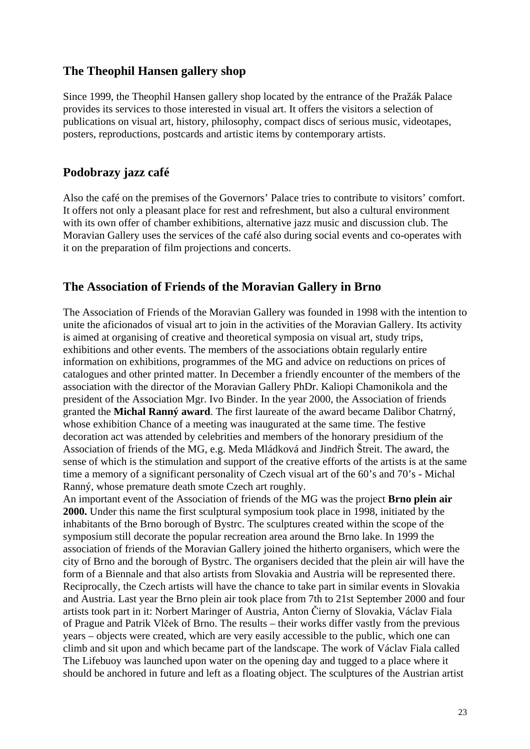# **The Theophil Hansen gallery shop**

Since 1999, the Theophil Hansen gallery shop located by the entrance of the Pražák Palace provides its services to those interested in visual art. It offers the visitors a selection of publications on visual art, history, philosophy, compact discs of serious music, videotapes, posters, reproductions, postcards and artistic items by contemporary artists.

# **Podobrazy jazz café**

Also the café on the premises of the Governors' Palace tries to contribute to visitors' comfort. It offers not only a pleasant place for rest and refreshment, but also a cultural environment with its own offer of chamber exhibitions, alternative jazz music and discussion club. The Moravian Gallery uses the services of the café also during social events and co-operates with it on the preparation of film projections and concerts.

# **The Association of Friends of the Moravian Gallery in Brno**

The Association of Friends of the Moravian Gallery was founded in 1998 with the intention to unite the aficionados of visual art to join in the activities of the Moravian Gallery. Its activity is aimed at organising of creative and theoretical symposia on visual art, study trips, exhibitions and other events. The members of the associations obtain regularly entire information on exhibitions, programmes of the MG and advice on reductions on prices of catalogues and other printed matter. In December a friendly encounter of the members of the association with the director of the Moravian Gallery PhDr. Kaliopi Chamonikola and the president of the Association Mgr. Ivo Binder. In the year 2000, the Association of friends granted the **Michal Ranný award**. The first laureate of the award became Dalibor Chatrný, whose exhibition Chance of a meeting was inaugurated at the same time. The festive decoration act was attended by celebrities and members of the honorary presidium of the Association of friends of the MG, e.g. Meda Mládková and Jindřich Štreit. The award, the sense of which is the stimulation and support of the creative efforts of the artists is at the same time a memory of a significant personality of Czech visual art of the 60's and 70's - Michal Ranný, whose premature death smote Czech art roughly.

An important event of the Association of friends of the MG was the project **Brno plein air 2000.** Under this name the first sculptural symposium took place in 1998, initiated by the inhabitants of the Brno borough of Bystrc. The sculptures created within the scope of the symposium still decorate the popular recreation area around the Brno lake. In 1999 the association of friends of the Moravian Gallery joined the hitherto organisers, which were the city of Brno and the borough of Bystrc. The organisers decided that the plein air will have the form of a Biennale and that also artists from Slovakia and Austria will be represented there. Reciprocally, the Czech artists will have the chance to take part in similar events in Slovakia and Austria. Last year the Brno plein air took place from 7th to 21st September 2000 and four artists took part in it: Norbert Maringer of Austria, Anton Čierny of Slovakia, Václav Fiala of Prague and Patrik Vlček of Brno. The results – their works differ vastly from the previous years – objects were created, which are very easily accessible to the public, which one can climb and sit upon and which became part of the landscape. The work of Václav Fiala called The Lifebuoy was launched upon water on the opening day and tugged to a place where it should be anchored in future and left as a floating object. The sculptures of the Austrian artist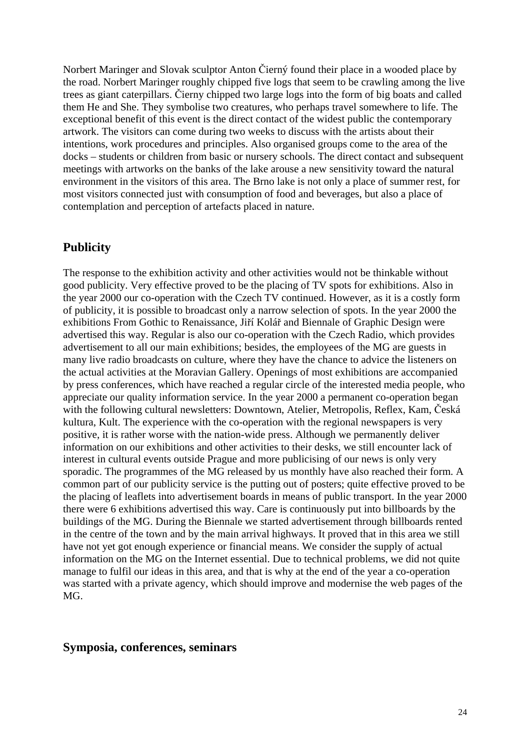Norbert Maringer and Slovak sculptor Anton Čierný found their place in a wooded place by the road. Norbert Maringer roughly chipped five logs that seem to be crawling among the live trees as giant caterpillars. Čierny chipped two large logs into the form of big boats and called them He and She. They symbolise two creatures, who perhaps travel somewhere to life. The exceptional benefit of this event is the direct contact of the widest public the contemporary artwork. The visitors can come during two weeks to discuss with the artists about their intentions, work procedures and principles. Also organised groups come to the area of the docks – students or children from basic or nursery schools. The direct contact and subsequent meetings with artworks on the banks of the lake arouse a new sensitivity toward the natural environment in the visitors of this area. The Brno lake is not only a place of summer rest, for most visitors connected just with consumption of food and beverages, but also a place of contemplation and perception of artefacts placed in nature.

# **Publicity**

The response to the exhibition activity and other activities would not be thinkable without good publicity. Very effective proved to be the placing of TV spots for exhibitions. Also in the year 2000 our co-operation with the Czech TV continued. However, as it is a costly form of publicity, it is possible to broadcast only a narrow selection of spots. In the year 2000 the exhibitions From Gothic to Renaissance, Jiří Kolář and Biennale of Graphic Design were advertised this way. Regular is also our co-operation with the Czech Radio, which provides advertisement to all our main exhibitions; besides, the employees of the MG are guests in many live radio broadcasts on culture, where they have the chance to advice the listeners on the actual activities at the Moravian Gallery. Openings of most exhibitions are accompanied by press conferences, which have reached a regular circle of the interested media people, who appreciate our quality information service. In the year 2000 a permanent co-operation began with the following cultural newsletters: Downtown, Atelier, Metropolis, Reflex, Kam, Česká kultura, Kult. The experience with the co-operation with the regional newspapers is very positive, it is rather worse with the nation-wide press. Although we permanently deliver information on our exhibitions and other activities to their desks, we still encounter lack of interest in cultural events outside Prague and more publicising of our news is only very sporadic. The programmes of the MG released by us monthly have also reached their form. A common part of our publicity service is the putting out of posters; quite effective proved to be the placing of leaflets into advertisement boards in means of public transport. In the year 2000 there were 6 exhibitions advertised this way. Care is continuously put into billboards by the buildings of the MG. During the Biennale we started advertisement through billboards rented in the centre of the town and by the main arrival highways. It proved that in this area we still have not yet got enough experience or financial means. We consider the supply of actual information on the MG on the Internet essential. Due to technical problems, we did not quite manage to fulfil our ideas in this area, and that is why at the end of the year a co-operation was started with a private agency, which should improve and modernise the web pages of the MG.

# **Symposia, conferences, seminars**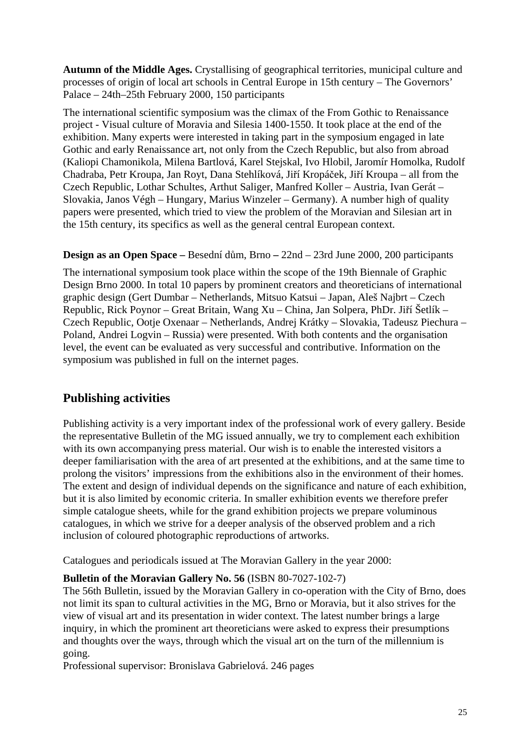**Autumn of the Middle Ages.** Crystallising of geographical territories, municipal culture and processes of origin of local art schools in Central Europe in 15th century – The Governors' Palace – 24th–25th February 2000, 150 participants

The international scientific symposium was the climax of the From Gothic to Renaissance project - Visual culture of Moravia and Silesia 1400-1550. It took place at the end of the exhibition. Many experts were interested in taking part in the symposium engaged in late Gothic and early Renaissance art, not only from the Czech Republic, but also from abroad (Kaliopi Chamonikola, Milena Bartlová, Karel Stejskal, Ivo Hlobil, Jaromír Homolka, Rudolf Chadraba, Petr Kroupa, Jan Royt, Dana Stehlíková, Jiří Kropáček, Jiří Kroupa – all from the Czech Republic, Lothar Schultes, Arthut Saliger, Manfred Koller – Austria, Ivan Gerát – Slovakia, Janos Végh – Hungary, Marius Winzeler – Germany). A number high of quality papers were presented, which tried to view the problem of the Moravian and Silesian art in the 15th century, its specifics as well as the general central European context.

# **Design as an Open Space –** Besední dům, Brno **–** 22nd – 23rd June 2000, 200 participants

The international symposium took place within the scope of the 19th Biennale of Graphic Design Brno 2000. In total 10 papers by prominent creators and theoreticians of international graphic design (Gert Dumbar – Netherlands, Mitsuo Katsui – Japan, Aleš Najbrt – Czech Republic, Rick Poynor – Great Britain, Wang Xu – China, Jan Solpera, PhDr. Jiří Šetlík – Czech Republic, Ootje Oxenaar – Netherlands, Andrej Krátky – Slovakia, Tadeusz Piechura – Poland, Andrei Logvin – Russia) were presented. With both contents and the organisation level, the event can be evaluated as very successful and contributive. Information on the symposium was published in full on the internet pages.

# **Publishing activities**

Publishing activity is a very important index of the professional work of every gallery. Beside the representative Bulletin of the MG issued annually, we try to complement each exhibition with its own accompanying press material. Our wish is to enable the interested visitors a deeper familiarisation with the area of art presented at the exhibitions, and at the same time to prolong the visitors' impressions from the exhibitions also in the environment of their homes. The extent and design of individual depends on the significance and nature of each exhibition, but it is also limited by economic criteria. In smaller exhibition events we therefore prefer simple catalogue sheets, while for the grand exhibition projects we prepare voluminous catalogues, in which we strive for a deeper analysis of the observed problem and a rich inclusion of coloured photographic reproductions of artworks.

Catalogues and periodicals issued at The Moravian Gallery in the year 2000:

# **Bulletin of the Moravian Gallery No. 56** (ISBN 80-7027-102-7)

The 56th Bulletin, issued by the Moravian Gallery in co-operation with the City of Brno, does not limit its span to cultural activities in the MG, Brno or Moravia, but it also strives for the view of visual art and its presentation in wider context. The latest number brings a large inquiry, in which the prominent art theoreticians were asked to express their presumptions and thoughts over the ways, through which the visual art on the turn of the millennium is going.

Professional supervisor: Bronislava Gabrielová. 246 pages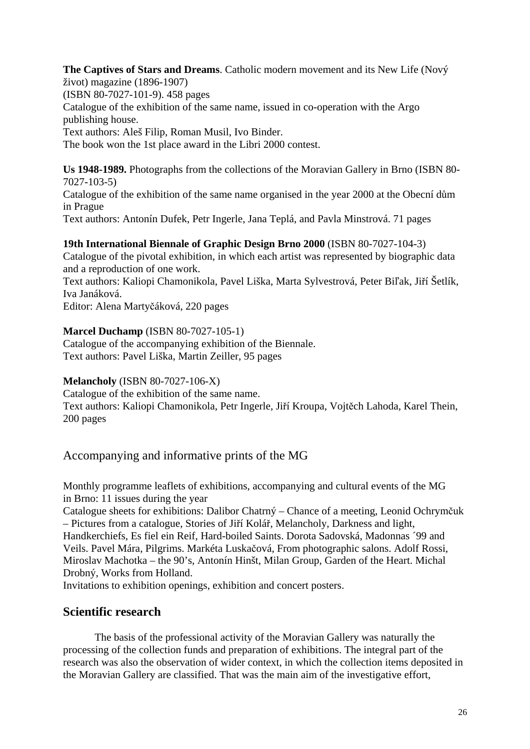**The Captives of Stars and Dreams**. Catholic modern movement and its New Life (Nový život) magazine (1896-1907) (ISBN 80-7027-101-9). 458 pages Catalogue of the exhibition of the same name, issued in co-operation with the Argo publishing house. Text authors: Aleš Filip, Roman Musil, Ivo Binder. The book won the 1st place award in the Libri 2000 contest.

**Us 1948-1989.** Photographs from the collections of the Moravian Gallery in Brno (ISBN 80- 7027-103-5) Catalogue of the exhibition of the same name organised in the year 2000 at the Obecní dům in Prague Text authors: Antonín Dufek, Petr Ingerle, Jana Teplá, and Pavla Minstrová. 71 pages

# **19th International Biennale of Graphic Design Brno 2000** (ISBN 80-7027-104-3)

Catalogue of the pivotal exhibition, in which each artist was represented by biographic data and a reproduction of one work.

Text authors: Kaliopi Chamonikola, Pavel Liška, Marta Sylvestrová, Peter Biľak, Jiří Šetlík, Iva Janáková.

Editor: Alena Martyčáková, 220 pages

# **Marcel Duchamp** (ISBN 80-7027-105-1)

Catalogue of the accompanying exhibition of the Biennale. Text authors: Pavel Liška, Martin Zeiller, 95 pages

# **Melancholy** (ISBN 80-7027-106-X)

Catalogue of the exhibition of the same name. Text authors: Kaliopi Chamonikola, Petr Ingerle, Jiří Kroupa, Vojtěch Lahoda, Karel Thein, 200 pages

Accompanying and informative prints of the MG

Monthly programme leaflets of exhibitions, accompanying and cultural events of the MG in Brno: 11 issues during the year

Catalogue sheets for exhibitions: Dalibor Chatrný – Chance of a meeting, Leonid Ochrymčuk – Pictures from a catalogue, Stories of Jiří Kolář, Melancholy, Darkness and light, Handkerchiefs, Es fiel ein Reif, Hard-boiled Saints. Dorota Sadovská, Madonnas ´99 and Veils. Pavel Mára, Pilgrims. Markéta Luskačová, From photographic salons. Adolf Rossi, Miroslav Machotka – the 90's, Antonín Hinšt, Milan Group, Garden of the Heart. Michal Drobný, Works from Holland.

Invitations to exhibition openings, exhibition and concert posters.

# **Scientific research**

The basis of the professional activity of the Moravian Gallery was naturally the processing of the collection funds and preparation of exhibitions. The integral part of the research was also the observation of wider context, in which the collection items deposited in the Moravian Gallery are classified. That was the main aim of the investigative effort,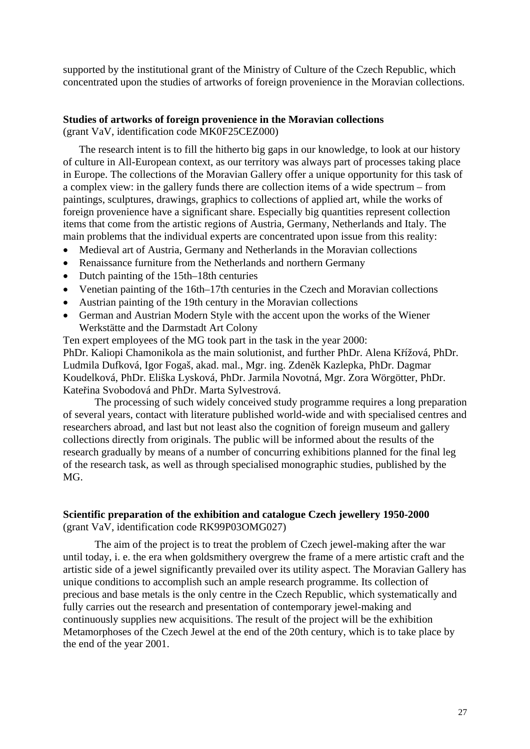supported by the institutional grant of the Ministry of Culture of the Czech Republic, which concentrated upon the studies of artworks of foreign provenience in the Moravian collections.

#### **Studies of artworks of foreign provenience in the Moravian collections**

(grant VaV, identification code MK0F25CEZ000)

The research intent is to fill the hitherto big gaps in our knowledge, to look at our history of culture in All-European context, as our territory was always part of processes taking place in Europe. The collections of the Moravian Gallery offer a unique opportunity for this task of a complex view: in the gallery funds there are collection items of a wide spectrum – from paintings, sculptures, drawings, graphics to collections of applied art, while the works of foreign provenience have a significant share. Especially big quantities represent collection items that come from the artistic regions of Austria, Germany, Netherlands and Italy. The main problems that the individual experts are concentrated upon issue from this reality:

- Medieval art of Austria, Germany and Netherlands in the Moravian collections
- Renaissance furniture from the Netherlands and northern Germany
- Dutch painting of the 15th–18th centuries
- Venetian painting of the 16th–17th centuries in the Czech and Moravian collections
- Austrian painting of the 19th century in the Moravian collections
- German and Austrian Modern Style with the accent upon the works of the Wiener Werkstätte and the Darmstadt Art Colony

Ten expert employees of the MG took part in the task in the year 2000: PhDr. Kaliopi Chamonikola as the main solutionist, and further PhDr. Alena Křížová, PhDr. Ludmila Dufková, Igor Fogaš, akad. mal., Mgr. ing. Zdeněk Kazlepka, PhDr. Dagmar Koudelková, PhDr. Eliška Lysková, PhDr. Jarmila Novotná, Mgr. Zora Wörgötter, PhDr. Kateřina Svobodová and PhDr. Marta Sylvestrová.

The processing of such widely conceived study programme requires a long preparation of several years, contact with literature published world-wide and with specialised centres and researchers abroad, and last but not least also the cognition of foreign museum and gallery collections directly from originals. The public will be informed about the results of the research gradually by means of a number of concurring exhibitions planned for the final leg of the research task, as well as through specialised monographic studies, published by the MG.

#### **Scientific preparation of the exhibition and catalogue Czech jewellery 1950-2000**  (grant VaV, identification code RK99P03OMG027)

The aim of the project is to treat the problem of Czech jewel-making after the war until today, i. e. the era when goldsmithery overgrew the frame of a mere artistic craft and the artistic side of a jewel significantly prevailed over its utility aspect. The Moravian Gallery has unique conditions to accomplish such an ample research programme. Its collection of precious and base metals is the only centre in the Czech Republic, which systematically and fully carries out the research and presentation of contemporary jewel-making and continuously supplies new acquisitions. The result of the project will be the exhibition Metamorphoses of the Czech Jewel at the end of the 20th century, which is to take place by the end of the year 2001.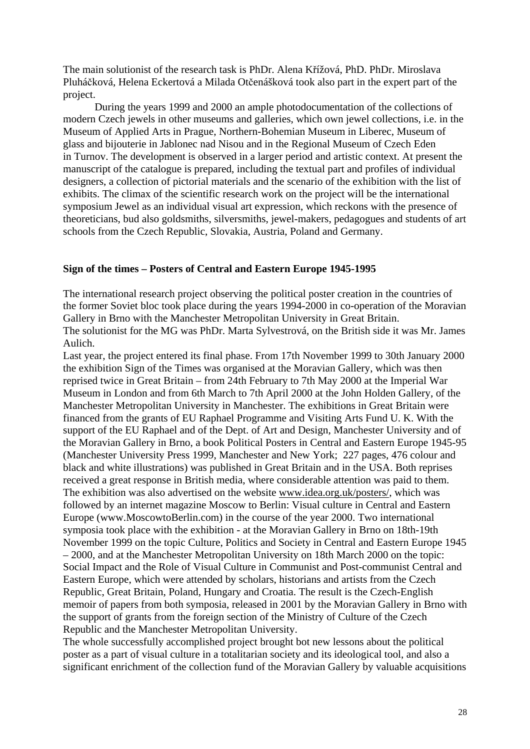The main solutionist of the research task is PhDr. Alena Křížová, PhD. PhDr. Miroslava Pluháčková, Helena Eckertová a Milada Otčenášková took also part in the expert part of the project.

During the years 1999 and 2000 an ample photodocumentation of the collections of modern Czech jewels in other museums and galleries, which own jewel collections, i.e. in the Museum of Applied Arts in Prague, Northern-Bohemian Museum in Liberec, Museum of glass and bijouterie in Jablonec nad Nisou and in the Regional Museum of Czech Eden in Turnov. The development is observed in a larger period and artistic context. At present the manuscript of the catalogue is prepared, including the textual part and profiles of individual designers, a collection of pictorial materials and the scenario of the exhibition with the list of exhibits. The climax of the scientific research work on the project will be the international symposium Jewel as an individual visual art expression, which reckons with the presence of theoreticians, bud also goldsmiths, silversmiths, jewel-makers, pedagogues and students of art schools from the Czech Republic, Slovakia, Austria, Poland and Germany.

#### **Sign of the times – Posters of Central and Eastern Europe 1945-1995**

The international research project observing the political poster creation in the countries of the former Soviet bloc took place during the years 1994-2000 in co-operation of the Moravian Gallery in Brno with the Manchester Metropolitan University in Great Britain. The solutionist for the MG was PhDr. Marta Sylvestrová, on the British side it was Mr. James Aulich.

Last year, the project entered its final phase. From 17th November 1999 to 30th January 2000 the exhibition Sign of the Times was organised at the Moravian Gallery, which was then reprised twice in Great Britain – from 24th February to 7th May 2000 at the Imperial War Museum in London and from 6th March to 7th April 2000 at the John Holden Gallery, of the Manchester Metropolitan University in Manchester. The exhibitions in Great Britain were financed from the grants of EU Raphael Programme and Visiting Arts Fund U. K. With the support of the EU Raphael and of the Dept. of Art and Design, Manchester University and of the Moravian Gallery in Brno, a book Political Posters in Central and Eastern Europe 1945-95 (Manchester University Press 1999, Manchester and New York; 227 pages, 476 colour and black and white illustrations) was published in Great Britain and in the USA. Both reprises received a great response in British media, where considerable attention was paid to them. The exhibition was also advertised on the website [www.idea.org.uk/posters/,](http://www.idea.org.uk/posters/) which was followed by an internet magazine Moscow to Berlin: Visual culture in Central and Eastern Europe (www.MoscowtoBerlin.com) in the course of the year 2000. Two international symposia took place with the exhibition - at the Moravian Gallery in Brno on 18th-19th November 1999 on the topic Culture, Politics and Society in Central and Eastern Europe 1945 – 2000, and at the Manchester Metropolitan University on 18th March 2000 on the topic: Social Impact and the Role of Visual Culture in Communist and Post-communist Central and Eastern Europe, which were attended by scholars, historians and artists from the Czech Republic, Great Britain, Poland, Hungary and Croatia. The result is the Czech-English memoir of papers from both symposia, released in 2001 by the Moravian Gallery in Brno with the support of grants from the foreign section of the Ministry of Culture of the Czech Republic and the Manchester Metropolitan University.

The whole successfully accomplished project brought bot new lessons about the political poster as a part of visual culture in a totalitarian society and its ideological tool, and also a significant enrichment of the collection fund of the Moravian Gallery by valuable acquisitions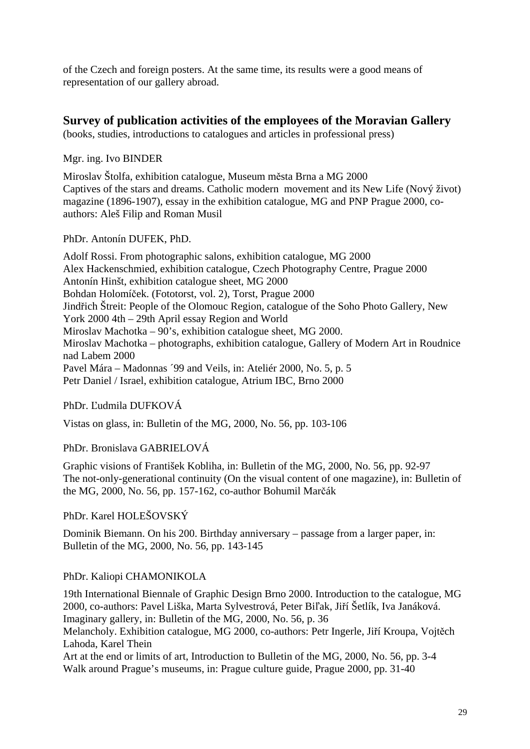of the Czech and foreign posters. At the same time, its results were a good means of representation of our gallery abroad.

# **Survey of publication activities of the employees of the Moravian Gallery**

(books, studies, introductions to catalogues and articles in professional press)

Mgr. ing. Ivo BINDER

Miroslav Štolfa, exhibition catalogue, Museum města Brna a MG 2000 Captives of the stars and dreams. Catholic modern movement and its New Life (Nový život) magazine (1896-1907), essay in the exhibition catalogue, MG and PNP Prague 2000, coauthors: Aleš Filip and Roman Musil

PhDr. Antonín DUFEK, PhD.

Adolf Rossi. From photographic salons, exhibition catalogue, MG 2000 Alex Hackenschmied, exhibition catalogue, Czech Photography Centre, Prague 2000 Antonín Hinšt, exhibition catalogue sheet, MG 2000 Bohdan Holomíček. (Fototorst, vol. 2), Torst, Prague 2000 Jindřich Štreit: People of the Olomouc Region, catalogue of the Soho Photo Gallery, New York 2000 4th – 29th April essay Region and World Miroslav Machotka – 90's, exhibition catalogue sheet, MG 2000. Miroslav Machotka – photographs, exhibition catalogue, Gallery of Modern Art in Roudnice nad Labem 2000 Pavel Mára – Madonnas ´99 and Veils, in: Ateliér 2000, No. 5, p. 5 Petr Daniel / Israel, exhibition catalogue, Atrium IBC, Brno 2000

PhDr. Ľudmila DUFKOVÁ

Vistas on glass, in: Bulletin of the MG, 2000, No. 56, pp. 103-106

PhDr. Bronislava GABRIELOVÁ

Graphic visions of František Kobliha, in: Bulletin of the MG, 2000, No. 56, pp. 92-97 The not-only-generational continuity (On the visual content of one magazine), in: Bulletin of the MG, 2000, No. 56, pp. 157-162, co-author Bohumil Marčák

# PhDr. Karel HOLEŠOVSKÝ

Dominik Biemann. On his 200. Birthday anniversary – passage from a larger paper, in: Bulletin of the MG, 2000, No. 56, pp. 143-145

# PhDr. Kaliopi CHAMONIKOLA

19th International Biennale of Graphic Design Brno 2000. Introduction to the catalogue, MG 2000, co-authors: Pavel Liška, Marta Sylvestrová, Peter Biľak, Jiří Šetlík, Iva Janáková. Imaginary gallery, in: Bulletin of the MG, 2000, No. 56, p. 36

Melancholy. Exhibition catalogue, MG 2000, co-authors: Petr Ingerle, Jiří Kroupa, Vojtěch Lahoda, Karel Thein

Art at the end or limits of art, Introduction to Bulletin of the MG, 2000, No. 56, pp. 3-4 Walk around Prague's museums, in: Prague culture guide, Prague 2000, pp. 31-40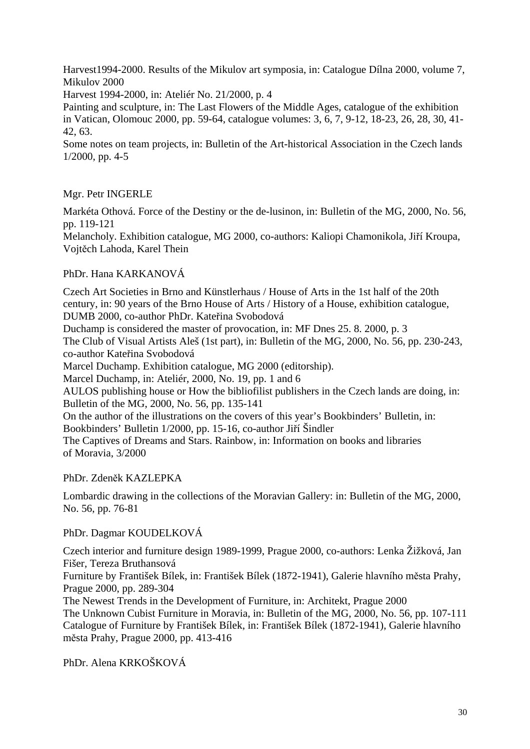Harvest1994-2000. Results of the Mikulov art symposia, in: Catalogue Dílna 2000, volume 7, Mikulov 2000

Harvest 1994-2000, in: Ateliér No. 21/2000, p. 4

Painting and sculpture, in: The Last Flowers of the Middle Ages, catalogue of the exhibition in Vatican, Olomouc 2000, pp. 59-64, catalogue volumes: 3, 6, 7, 9-12, 18-23, 26, 28, 30, 41- 42, 63.

Some notes on team projects, in: Bulletin of the Art-historical Association in the Czech lands 1/2000, pp. 4-5

# Mgr. Petr INGERLE

Markéta Othová. Force of the Destiny or the de-lusinon, in: Bulletin of the MG, 2000, No. 56, pp. 119-121

Melancholy. Exhibition catalogue, MG 2000, co-authors: Kaliopi Chamonikola, Jiří Kroupa, Vojtěch Lahoda, Karel Thein

# PhDr. Hana KARKANOVÁ

Czech Art Societies in Brno and Künstlerhaus / House of Arts in the 1st half of the 20th century, in: 90 years of the Brno House of Arts / History of a House, exhibition catalogue, DUMB 2000, co-author PhDr. Kateřina Svobodová

Duchamp is considered the master of provocation, in: MF Dnes 25. 8. 2000, p. 3

The Club of Visual Artists Aleš (1st part), in: Bulletin of the MG, 2000, No. 56, pp. 230-243, co-author Kateřina Svobodová

Marcel Duchamp. Exhibition catalogue, MG 2000 (editorship).

Marcel Duchamp, in: Ateliér, 2000, No. 19, pp. 1 and 6

AULOS publishing house or How the bibliofilist publishers in the Czech lands are doing, in: Bulletin of the MG, 2000, No. 56, pp. 135-141

On the author of the illustrations on the covers of this year's Bookbinders' Bulletin, in: Bookbinders' Bulletin 1/2000, pp. 15-16, co-author Jiří Šindler

The Captives of Dreams and Stars. Rainbow, in: Information on books and libraries of Moravia, 3/2000

PhDr. Zdeněk KAZLEPKA

Lombardic drawing in the collections of the Moravian Gallery: in: Bulletin of the MG, 2000, No. 56, pp. 76-81

#### PhDr. Dagmar KOUDELKOVÁ

Czech interior and furniture design 1989-1999, Prague 2000, co-authors: Lenka Žižková, Jan Fišer, Tereza Bruthansová Furniture by František Bílek, in: František Bílek (1872-1941), Galerie hlavního města Prahy, Prague 2000, pp. 289-304

The Newest Trends in the Development of Furniture, in: Architekt, Prague 2000 The Unknown Cubist Furniture in Moravia, in: Bulletin of the MG, 2000, No. 56, pp. 107-111 Catalogue of Furniture by František Bílek, in: František Bílek (1872-1941), Galerie hlavního města Prahy, Prague 2000, pp. 413-416

PhDr. Alena KRKOŠKOVÁ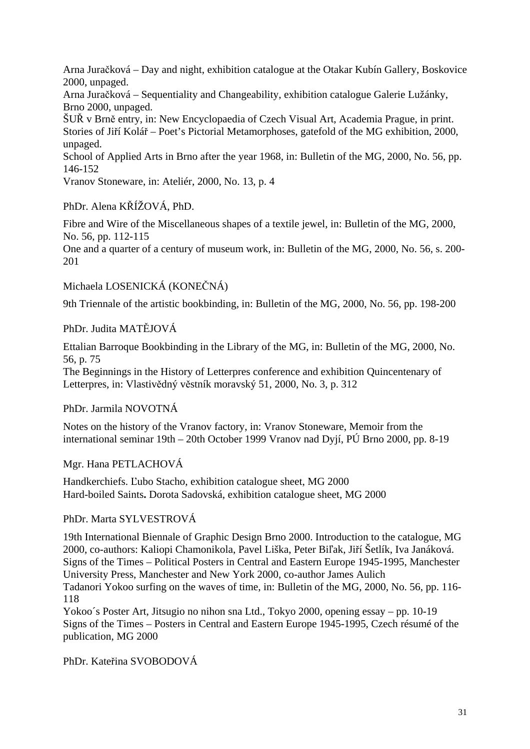Arna Juračková – Day and night, exhibition catalogue at the Otakar Kubín Gallery, Boskovice 2000, unpaged.

Arna Juračková – Sequentiality and Changeability, exhibition catalogue Galerie Lužánky, Brno 2000, unpaged.

ŠUŘ v Brně entry, in: New Encyclopaedia of Czech Visual Art, Academia Prague, in print. Stories of Jiří Kolář – Poet's Pictorial Metamorphoses, gatefold of the MG exhibition, 2000, unpaged.

School of Applied Arts in Brno after the year 1968, in: Bulletin of the MG, 2000, No. 56, pp. 146-152

Vranov Stoneware, in: Ateliér, 2000, No. 13, p. 4

PhDr. Alena KŘÍŽOVÁ, PhD.

Fibre and Wire of the Miscellaneous shapes of a textile jewel, in: Bulletin of the MG, 2000, No. 56, pp. 112-115

One and a quarter of a century of museum work, in: Bulletin of the MG, 2000, No. 56, s. 200- 201

Michaela LOSENICKÁ (KONEČNÁ)

9th Triennale of the artistic bookbinding, in: Bulletin of the MG, 2000, No. 56, pp. 198-200

PhDr. Judita MATĚJOVÁ

Ettalian Barroque Bookbinding in the Library of the MG, in: Bulletin of the MG, 2000, No. 56, p. 75

The Beginnings in the History of Letterpres conference and exhibition Quincentenary of Letterpres, in: Vlastivědný věstník moravský 51, 2000, No. 3, p. 312

PhDr. Jarmila NOVOTNÁ

Notes on the history of the Vranov factory, in: Vranov Stoneware, Memoir from the international seminar 19th – 20th October 1999 Vranov nad Dyjí, PÚ Brno 2000, pp. 8-19

Mgr. Hana PETLACHOVÁ

Handkerchiefs. Ľubo Stacho, exhibition catalogue sheet, MG 2000 Hard-boiled Saints**.** Dorota Sadovská, exhibition catalogue sheet, MG 2000

PhDr. Marta SYLVESTROVÁ

19th International Biennale of Graphic Design Brno 2000. Introduction to the catalogue, MG 2000, co-authors: Kaliopi Chamonikola, Pavel Liška, Peter Biľak, Jiří Šetlík, Iva Janáková. Signs of the Times – Political Posters in Central and Eastern Europe 1945-1995, Manchester University Press, Manchester and New York 2000, co-author James Aulich

Tadanori Yokoo surfing on the waves of time, in: Bulletin of the MG, 2000, No. 56, pp. 116- 118

Yokoo´s Poster Art, Jitsugio no nihon sna Ltd., Tokyo 2000, opening essay – pp. 10-19 Signs of the Times – Posters in Central and Eastern Europe 1945-1995, Czech résumé of the publication, MG 2000

PhDr. Kateřina SVOBODOVÁ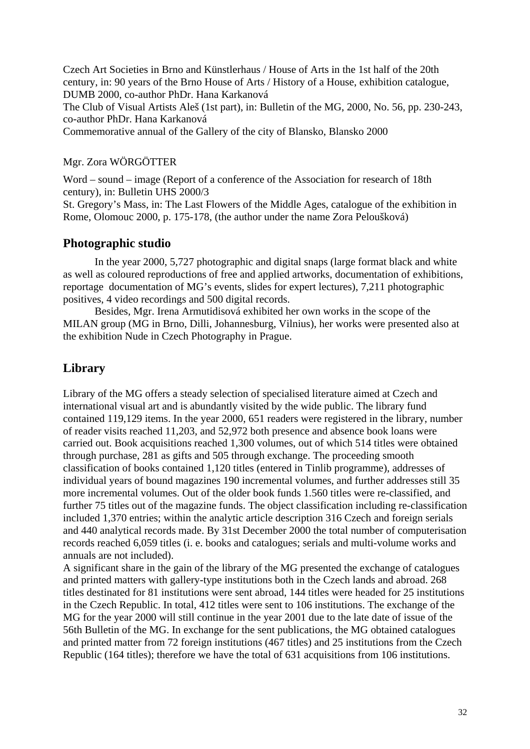Czech Art Societies in Brno and Künstlerhaus / House of Arts in the 1st half of the 20th century, in: 90 years of the Brno House of Arts / History of a House, exhibition catalogue, DUMB 2000, co-author PhDr. Hana Karkanová The Club of Visual Artists Aleš (1st part), in: Bulletin of the MG, 2000, No. 56, pp. 230-243, co-author PhDr. Hana Karkanová Commemorative annual of the Gallery of the city of Blansko, Blansko 2000

# Mgr. Zora WÖRGÖTTER

Word – sound – image (Report of a conference of the Association for research of 18th century), in: Bulletin UHS 2000/3

St. Gregory's Mass, in: The Last Flowers of the Middle Ages, catalogue of the exhibition in Rome, Olomouc 2000, p. 175-178, (the author under the name Zora Peloušková)

# **Photographic studio**

In the year 2000, 5,727 photographic and digital snaps (large format black and white as well as coloured reproductions of free and applied artworks, documentation of exhibitions, reportage documentation of MG's events, slides for expert lectures), 7,211 photographic positives, 4 video recordings and 500 digital records.

Besides, Mgr. Irena Armutidisová exhibited her own works in the scope of the MILAN group (MG in Brno, Dilli, Johannesburg, Vilnius), her works were presented also at the exhibition Nude in Czech Photography in Prague.

# **Library**

Library of the MG offers a steady selection of specialised literature aimed at Czech and international visual art and is abundantly visited by the wide public. The library fund contained 119,129 items. In the year 2000, 651 readers were registered in the library, number of reader visits reached 11,203, and 52,972 both presence and absence book loans were carried out. Book acquisitions reached 1,300 volumes, out of which 514 titles were obtained through purchase, 281 as gifts and 505 through exchange. The proceeding smooth classification of books contained 1,120 titles (entered in Tinlib programme), addresses of individual years of bound magazines 190 incremental volumes, and further addresses still 35 more incremental volumes. Out of the older book funds 1.560 titles were re-classified, and further 75 titles out of the magazine funds. The object classification including re-classification included 1,370 entries; within the analytic article description 316 Czech and foreign serials and 440 analytical records made. By 31st December 2000 the total number of computerisation records reached 6,059 titles (i. e. books and catalogues; serials and multi-volume works and annuals are not included).

A significant share in the gain of the library of the MG presented the exchange of catalogues and printed matters with gallery-type institutions both in the Czech lands and abroad. 268 titles destinated for 81 institutions were sent abroad, 144 titles were headed for 25 institutions in the Czech Republic. In total, 412 titles were sent to 106 institutions. The exchange of the MG for the year 2000 will still continue in the year 2001 due to the late date of issue of the 56th Bulletin of the MG. In exchange for the sent publications, the MG obtained catalogues and printed matter from 72 foreign institutions (467 titles) and 25 institutions from the Czech Republic (164 titles); therefore we have the total of 631 acquisitions from 106 institutions.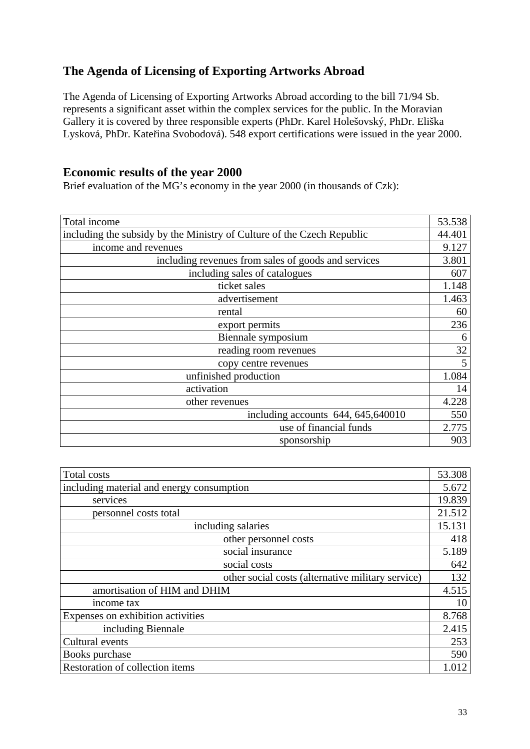# **The Agenda of Licensing of Exporting Artworks Abroad**

The Agenda of Licensing of Exporting Artworks Abroad according to the bill 71/94 Sb. represents a significant asset within the complex services for the public. In the Moravian Gallery it is covered by three responsible experts (PhDr. Karel Holešovský, PhDr. Eliška Lysková, PhDr. Kateřina Svobodová). 548 export certifications were issued in the year 2000.

# **Economic results of the year 2000**

Brief evaluation of the MG's economy in the year 2000 (in thousands of Czk):

| Total income                                                           | 53.538 |
|------------------------------------------------------------------------|--------|
| including the subsidy by the Ministry of Culture of the Czech Republic | 44.401 |
| income and revenues                                                    | 9.127  |
| including revenues from sales of goods and services                    | 3.801  |
| including sales of catalogues                                          | 607    |
| ticket sales                                                           | 1.148  |
| advertisement                                                          | 1.463  |
| rental                                                                 | 60     |
| export permits                                                         | 236    |
| Biennale symposium                                                     | 6      |
| reading room revenues                                                  | 32     |
| copy centre revenues                                                   | 5      |
| unfinished production                                                  | 1.084  |
| activation                                                             | 14     |
| other revenues                                                         | 4.228  |
| including accounts $644, 645, 640010$                                  | 550    |
| use of financial funds                                                 | 2.775  |
| sponsorship                                                            | 903    |
|                                                                        |        |

| Total costs                                       | 53.308 |
|---------------------------------------------------|--------|
| including material and energy consumption         | 5.672  |
| services                                          | 19.839 |
| personnel costs total                             | 21.512 |
| including salaries                                | 15.131 |
| other personnel costs                             | 418    |
| social insurance                                  | 5.189  |
| social costs                                      | 642    |
| other social costs (alternative military service) | 132    |
| amortisation of HIM and DHIM                      | 4.515  |
| income tax                                        | 10     |
| Expenses on exhibition activities                 | 8.768  |
| including Biennale                                | 2.415  |
| Cultural events                                   | 253    |
| Books purchase                                    | 590    |
| Restoration of collection items                   | 1.012  |